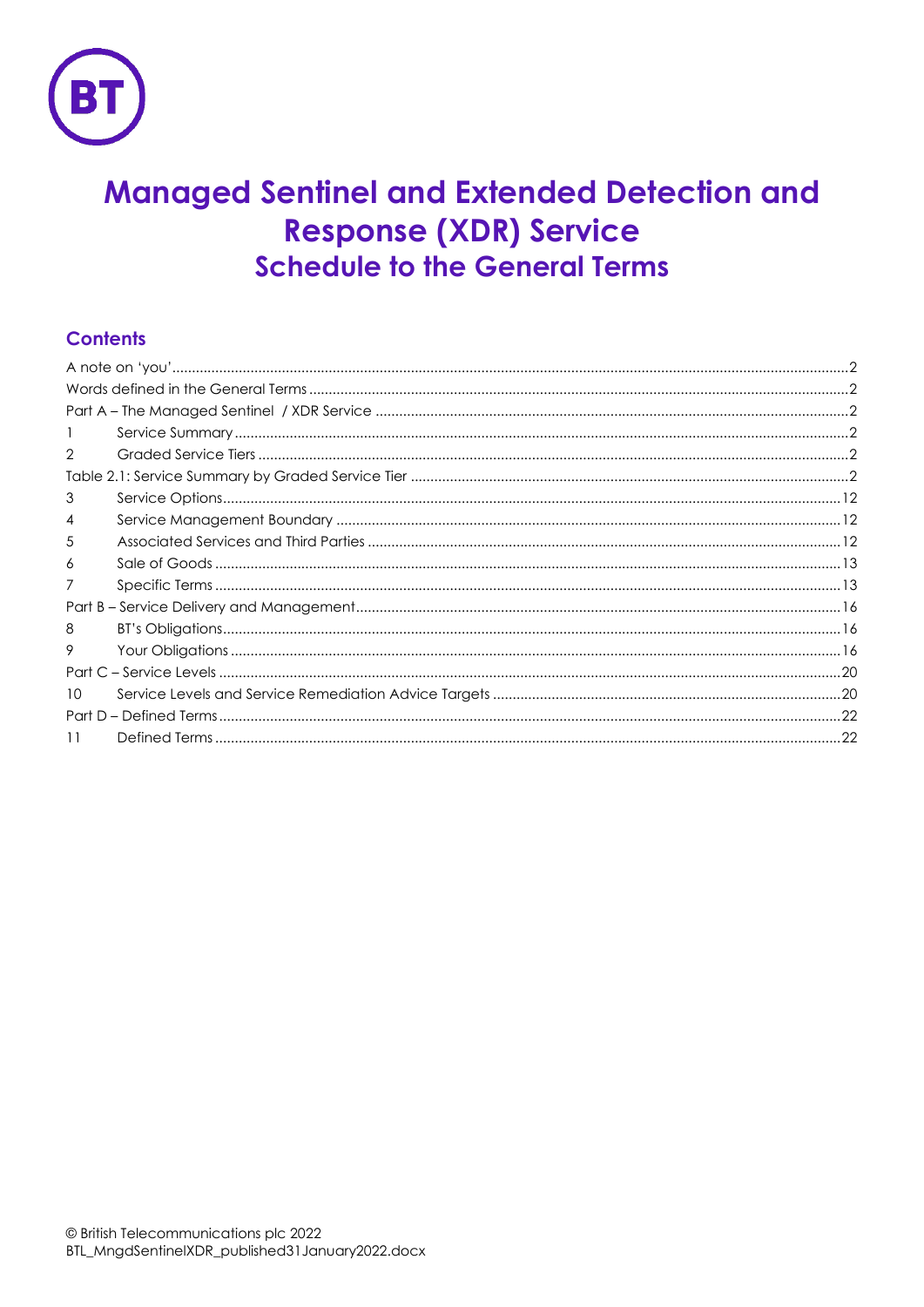

# **Managed Sentinel and Extended Detection and Response (XDR) Service Schedule to the General Terms**

# **Contents**

| 2<br>3<br>4<br>5<br>6<br>8<br>9<br>10<br>11 |  |  |
|---------------------------------------------|--|--|
|                                             |  |  |
|                                             |  |  |
|                                             |  |  |
|                                             |  |  |
|                                             |  |  |
|                                             |  |  |
|                                             |  |  |
|                                             |  |  |
|                                             |  |  |
|                                             |  |  |
|                                             |  |  |
|                                             |  |  |
|                                             |  |  |
|                                             |  |  |
|                                             |  |  |
|                                             |  |  |
|                                             |  |  |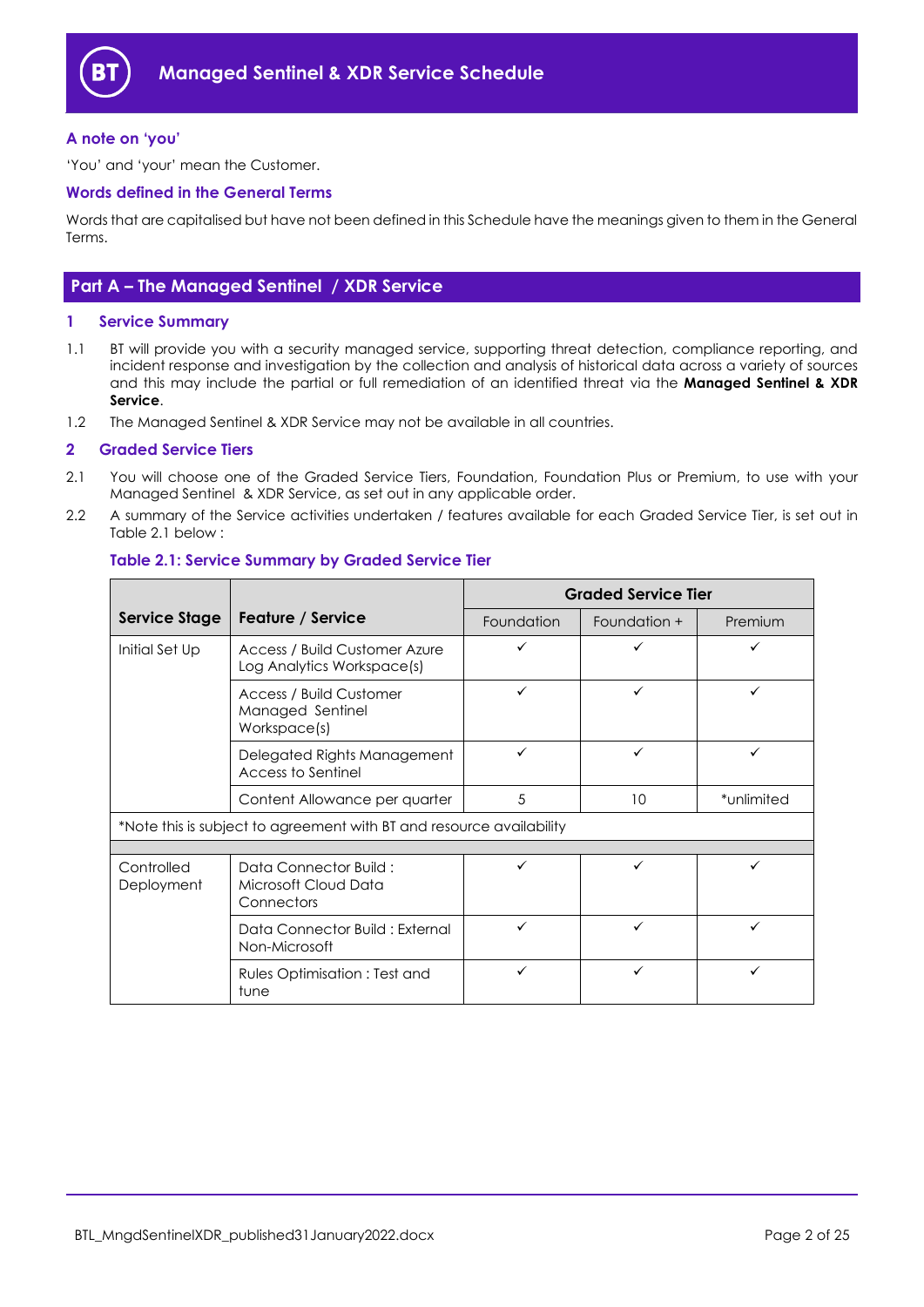

# <span id="page-1-0"></span>**A note on 'you'**

'You' and 'your' mean the Customer.

# <span id="page-1-1"></span>**Words defined in the General Terms**

Words that are capitalised but have not been defined in this Schedule have the meanings given to them in the General Terms.

# <span id="page-1-2"></span>**Part A – The Managed Sentinel / XDR Service**

# <span id="page-1-3"></span>**1 Service Summary**

- 1.1 BT will provide you with a security managed service, supporting threat detection, compliance reporting, and incident response and investigation by the collection and analysis of historical data across a variety of sources and this may include the partial or full remediation of an identified threat via the **Managed Sentinel & XDR Service**.
- 1.2 The Managed Sentinel & XDR Service may not be available in all countries.

#### <span id="page-1-4"></span>**2 Graded Service Tiers**

- <span id="page-1-6"></span>2.1 You will choose one of the Graded Service Tiers, Foundation, Foundation Plus or Premium, to use with your Managed Sentinel & XDR Service, as set out in any applicable order.
- <span id="page-1-5"></span>2.2 A summary of the Service activities undertaken / features available for each Graded Service Tier, is set out in Table 2.1 below :

|                                                                      |                                                                    | <b>Graded Service Tier</b> |              |            |
|----------------------------------------------------------------------|--------------------------------------------------------------------|----------------------------|--------------|------------|
| <b>Service Stage</b>                                                 | Feature / Service                                                  | Foundation                 | Foundation + | Premium    |
| Initial Set Up                                                       | Access / Build Customer Azure<br>Log Analytics Workspace(s)        |                            |              |            |
|                                                                      | <b>Access / Build Customer</b><br>Managed Sentinel<br>Workspace(s) |                            | ✓            | ✓          |
|                                                                      | Delegated Rights Management<br>Access to Sentinel                  | ✓                          | ✓            | ✓          |
|                                                                      | Content Allowance per quarter                                      | 5                          | 10           | *unlimited |
| *Note this is subject to agreement with BT and resource availability |                                                                    |                            |              |            |
|                                                                      |                                                                    |                            |              |            |
| Controlled<br>Deployment                                             | Data Connector Build:<br>Microsoft Cloud Data<br>Connectors        |                            |              |            |
|                                                                      | Data Connector Build: External<br>Non-Microsoft                    |                            | ✓            |            |
|                                                                      | Rules Optimisation: Test and<br>tune                               |                            | ✓            |            |

# **Table 2.1: Service Summary by Graded Service Tier**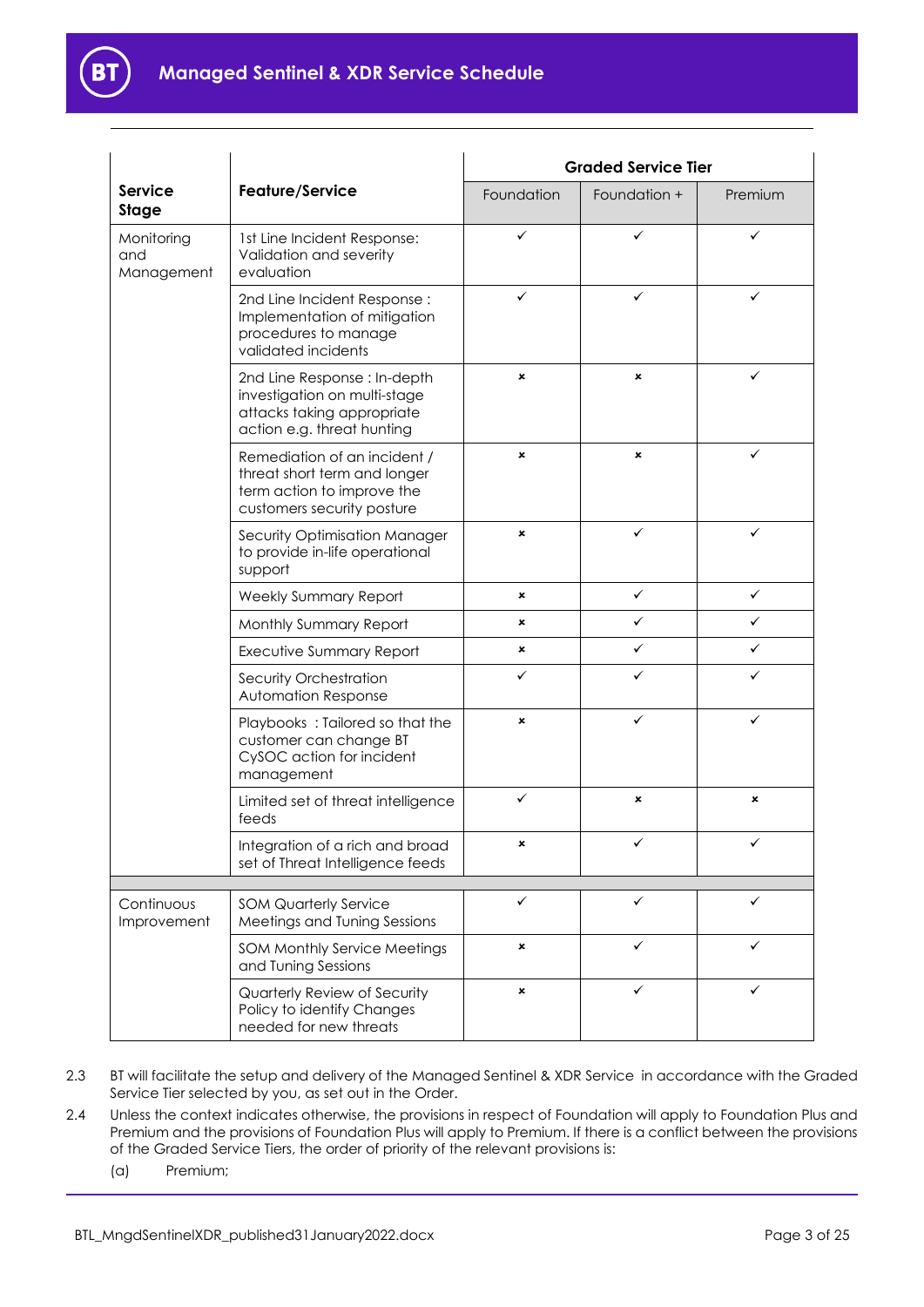

|                                                      |                                                                                                                          | <b>Graded Service Tier</b> |                |              |
|------------------------------------------------------|--------------------------------------------------------------------------------------------------------------------------|----------------------------|----------------|--------------|
| <b>Service</b><br><b>Stage</b>                       | Feature/Service                                                                                                          | Foundation                 | Foundation +   | Premium      |
| Monitoring<br>and<br>Management                      | 1st Line Incident Response:<br>Validation and severity<br>evaluation                                                     | ✓                          | ✓              | ✓            |
|                                                      | 2nd Line Incident Response:<br>Implementation of mitigation<br>procedures to manage<br>validated incidents               | ✓                          | ✓              | ✓            |
|                                                      | 2nd Line Response : In-depth<br>investigation on multi-stage<br>attacks taking appropriate<br>action e.g. threat hunting | ×                          | $\pmb{\times}$ | ✓            |
|                                                      | Remediation of an incident /<br>threat short term and longer<br>term action to improve the<br>customers security posture | ×                          | $\pmb{\times}$ | ✓            |
|                                                      | Security Optimisation Manager<br>to provide in-life operational<br>support                                               | ×                          | ✓              | ✓            |
|                                                      | Weekly Summary Report                                                                                                    | ×                          | $\checkmark$   | $\checkmark$ |
|                                                      | Monthly Summary Report                                                                                                   | ×                          | ✓              | ✓            |
|                                                      | <b>Executive Summary Report</b>                                                                                          | ×                          | ✓              | ✓            |
|                                                      | Security Orchestration<br><b>Automation Response</b>                                                                     | ✓                          | ✓              | ✓            |
|                                                      | Playbooks: Tailored so that the<br>customer can change BT<br>CySOC action for incident<br>management                     | ×                          | ✓              | ✓            |
|                                                      | Limited set of threat intelligence<br>feeds                                                                              | ✓                          | $\pmb{\times}$ | ×            |
|                                                      | Integration of a rich and broad<br>set of Threat Intelligence feeds                                                      | ×                          | ✓              | ✓            |
| ✓<br>✓<br><b>SOM Quarterly Service</b><br>Continuous |                                                                                                                          |                            |                | ✓            |
| Improvement                                          | Meetings and Tuning Sessions                                                                                             |                            |                |              |
|                                                      | SOM Monthly Service Meetings<br>and Tuning Sessions                                                                      | ×                          | ✓              | ✓            |
|                                                      | Quarterly Review of Security<br>Policy to identify Changes<br>needed for new threats                                     | ×                          | ✓              | ✓            |

- 2.3 BT will facilitate the setup and delivery of the Managed Sentinel & XDR Service in accordance with the Graded Service Tier selected by you, as set out in the Order.
- 2.4 Unless the context indicates otherwise, the provisions in respect of Foundation will apply to Foundation Plus and Premium and the provisions of Foundation Plus will apply to Premium. If there is a conflict between the provisions of the Graded Service Tiers, the order of priority of the relevant provisions is:
	- (a) Premium;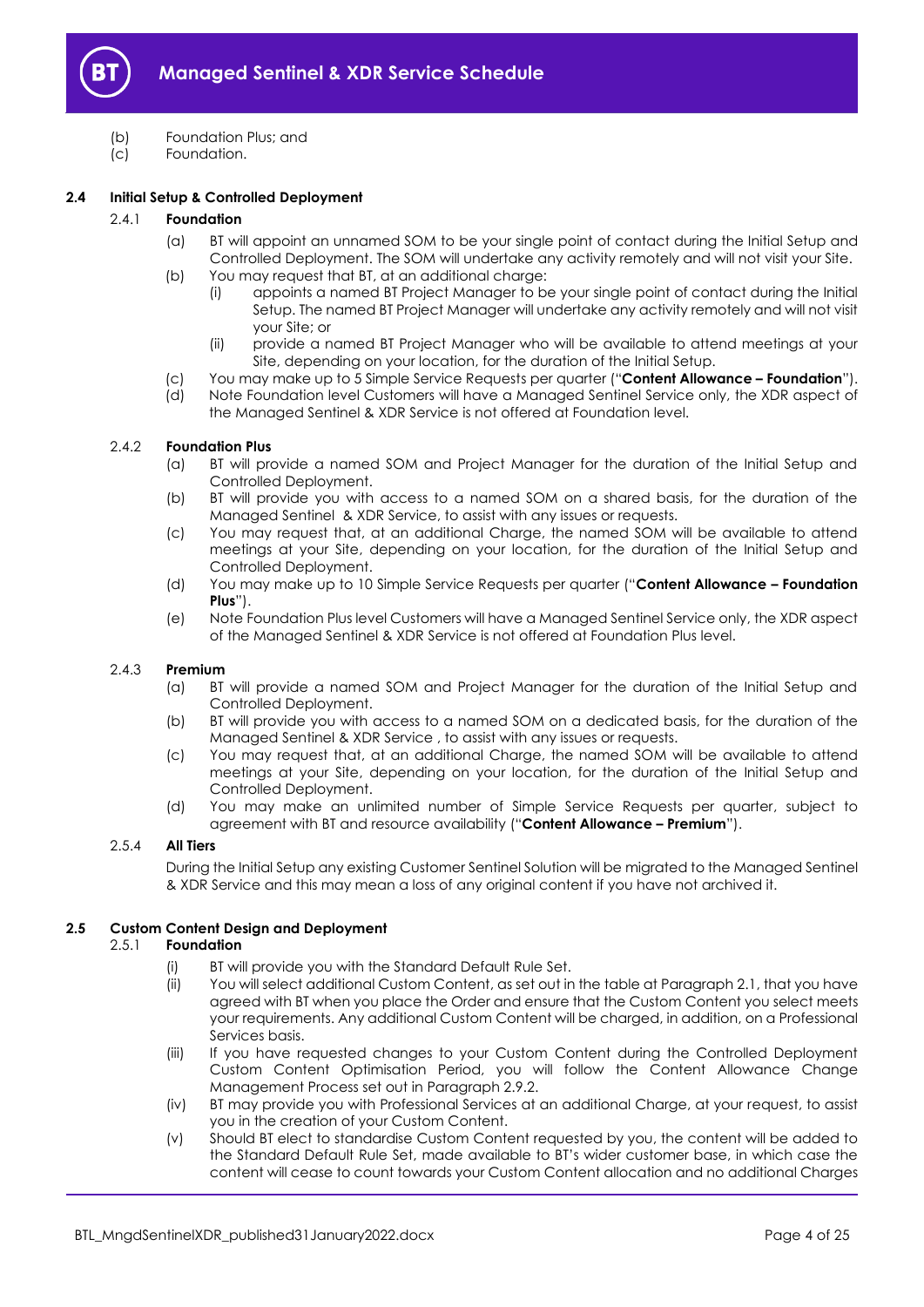

- (b) Foundation Plus; and
- (c) Foundation.

# <span id="page-3-2"></span>**2.4 Initial Setup & Controlled Deployment**

# <span id="page-3-0"></span>2.4.1 **Foundation**

- (a) BT will appoint an unnamed SOM to be your single point of contact during the Initial Setup and Controlled Deployment. The SOM will undertake any activity remotely and will not visit your Site.
- (b) You may request that BT, at an additional charge:
	- (i) appoints a named BT Project Manager to be your single point of contact during the Initial Setup. The named BT Project Manager will undertake any activity remotely and will not visit your Site; or
	- (ii) provide a named BT Project Manager who will be available to attend meetings at your Site, depending on your location, for the duration of the Initial Setup.
- (c) You may make up to 5 Simple Service Requests per quarter ("**Content Allowance – Foundation**").
- (d) Note Foundation level Customers will have a Managed Sentinel Service only, the XDR aspect of the Managed Sentinel & XDR Service is not offered at Foundation level.

# 2.4.2 **Foundation Plus**

- (a) BT will provide a named SOM and Project Manager for the duration of the Initial Setup and Controlled Deployment.
- (b) BT will provide you with access to a named SOM on a shared basis, for the duration of the Managed Sentinel & XDR Service, to assist with any issues or requests.
- (c) You may request that, at an additional Charge, the named SOM will be available to attend meetings at your Site, depending on your location, for the duration of the Initial Setup and Controlled Deployment.
- (d) You may make up to 10 Simple Service Requests per quarter ("**Content Allowance – Foundation Plus**").
- (e) Note Foundation Plus level Customers will have a Managed Sentinel Service only, the XDR aspect of the Managed Sentinel & XDR Service is not offered at Foundation Plus level.

#### 2.4.3 **Premium**

- (a) BT will provide a named SOM and Project Manager for the duration of the Initial Setup and Controlled Deployment.
- (b) BT will provide you with access to a named SOM on a dedicated basis, for the duration of the Managed Sentinel & XDR Service , to assist with any issues or requests.
- (c) You may request that, at an additional Charge, the named SOM will be available to attend meetings at your Site, depending on your location, for the duration of the Initial Setup and Controlled Deployment.
- (d) You may make an unlimited number of Simple Service Requests per quarter, subject to agreement with BT and resource availability ("**Content Allowance – Premium**").

# 2.5.4 **All Tiers**

During the Initial Setup any existing Customer Sentinel Solution will be migrated to the Managed Sentinel & XDR Service and this may mean a loss of any original content if you have not archived it.

# <span id="page-3-1"></span>**2.5 Custom Content Design and Deployment**

#### 2.5.1 **Foundation**

- (i) BT will provide you with the Standard Default Rule Set.
- (ii) You will select additional Custom Content, as set out in the table at Paragraph [2.1,](#page-1-6) that you have agreed with BT when you place the Order and ensure that the Custom Content you select meets your requirements. Any additional Custom Content will be charged, in addition, on a Professional Services basis.
- (iii) If you have requested changes to your Custom Content during the Controlled Deployment Custom Content Optimisation Period, you will follow the Content Allowance Change Management Process set out in Paragrap[h 2.9.2.](#page-10-0)
- (iv) BT may provide you with Professional Services at an additional Charge, at your request, to assist you in the creation of your Custom Content.
- (v) Should BT elect to standardise Custom Content requested by you, the content will be added to the Standard Default Rule Set, made available to BT's wider customer base, in which case the content will cease to count towards your Custom Content allocation and no additional Charges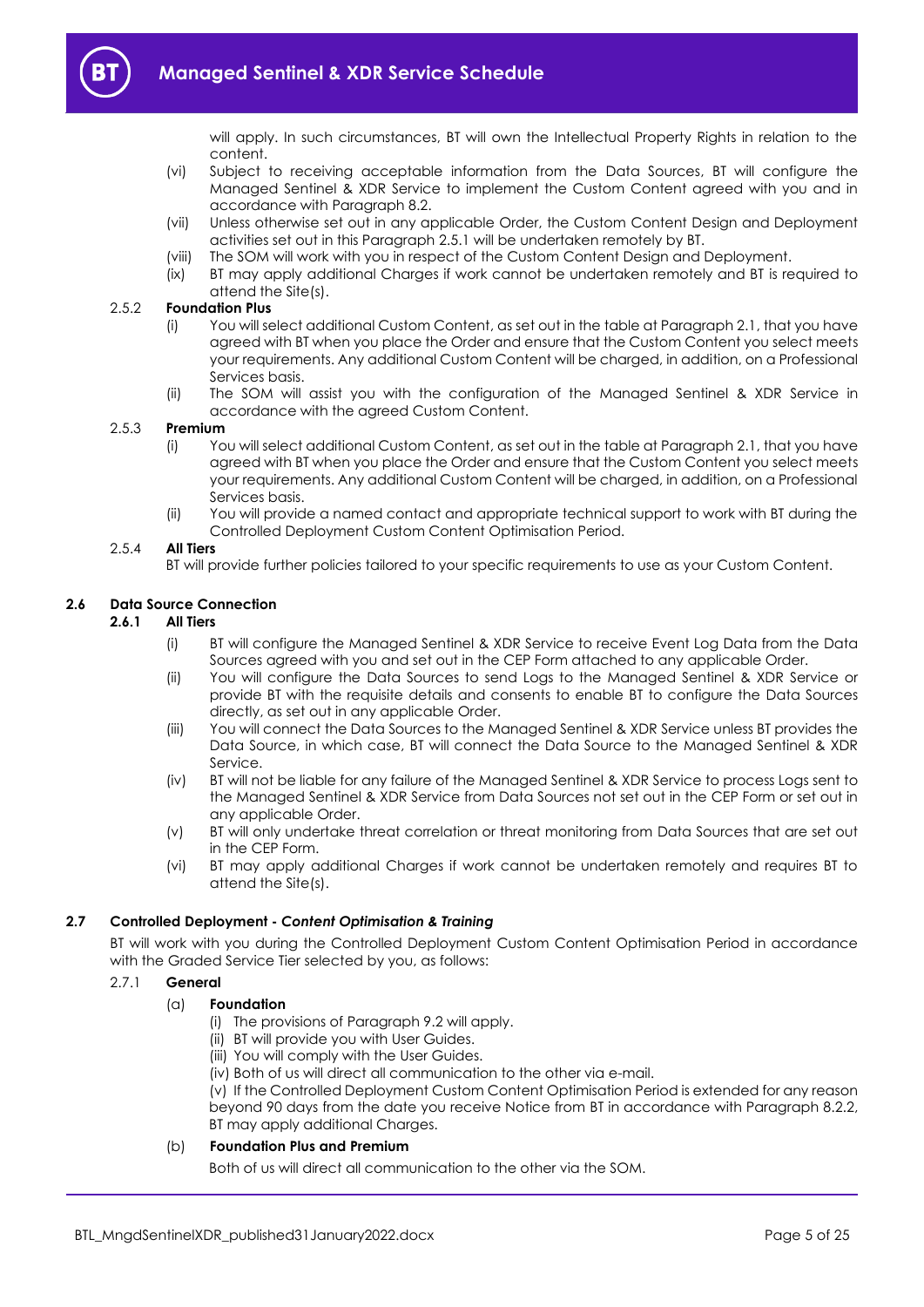

will apply. In such circumstances, BT will own the Intellectual Property Rights in relation to the content.

- (vi) Subject to receiving acceptable information from the Data Sources, BT will configure the Managed Sentinel & XDR Service to implement the Custom Content agreed with you and in accordance with Paragraph [8.2.](#page-15-3)
- (vii) Unless otherwise set out in any applicable Order, the Custom Content Design and Deployment activities set out in this Paragraph 2.5.1 will be undertaken remotely by BT.
- (viii) The SOM will work with you in respect of the Custom Content Design and Deployment.
- (ix) BT may apply additional Charges if work cannot be undertaken remotely and BT is required to attend the Site(s).

#### 2.5.2 **Foundation Plus**

- (i) You will select additional Custom Content, as set out in the table at Paragraph 2.1, that you have agreed with BT when you place the Order and ensure that the Custom Content you select meets your requirements. Any additional Custom Content will be charged, in addition, on a Professional Services basis.
- (ii) The SOM will assist you with the configuration of the Managed Sentinel & XDR Service in accordance with the agreed Custom Content.

#### 2.5.3 **Premium**

- (i) You will select additional Custom Content, as set out in the table at Paragraph 2.1, that you have agreed with BT when you place the Order and ensure that the Custom Content you select meets your requirements. Any additional Custom Content will be charged, in addition, on a Professional Services basis.
- (ii) You will provide a named contact and appropriate technical support to work with BT during the Controlled Deployment Custom Content Optimisation Period.

#### 2.5.4 **All Tiers**

BT will provide further policies tailored to your specific requirements to use as your Custom Content.

#### **2.6 Data Source Connection**

# **2.6.1 All Tiers**

- (i) BT will configure the Managed Sentinel & XDR Service to receive Event Log Data from the Data Sources agreed with you and set out in the CEP Form attached to any applicable Order.
- (ii) You will configure the Data Sources to send Logs to the Managed Sentinel & XDR Service or provide BT with the requisite details and consents to enable BT to configure the Data Sources directly, as set out in any applicable Order.
- (iii) You will connect the Data Sources to the Managed Sentinel & XDR Service unless BT provides the Data Source, in which case, BT will connect the Data Source to the Managed Sentinel & XDR Service.
- (iv) BT will not be liable for any failure of the Managed Sentinel & XDR Service to process Logs sent to the Managed Sentinel & XDR Service from Data Sources not set out in the CEP Form or set out in any applicable Order.
- (v) BT will only undertake threat correlation or threat monitoring from Data Sources that are set out in the CEP Form.
- (vi) BT may apply additional Charges if work cannot be undertaken remotely and requires BT to attend the Site(s).

#### <span id="page-4-1"></span>**2.7 Controlled Deployment -** *Content Optimisation & Training*

BT will work with you during the Controlled Deployment Custom Content Optimisation Period in accordance with the Graded Service Tier selected by you, as follows:

# <span id="page-4-0"></span>2.7.1 **General**

#### (a) **Foundation**

- (i) The provisions of Paragraph [9.2](#page-17-0) will apply.
- (ii) BT will provide you with User Guides.
- (iii) You will comply with the User Guides.
- (iv) Both of us will direct all communication to the other via e-mail.

(v) If the Controlled Deployment Custom Content Optimisation Period is extended for any reason beyond 90 days from the date you receive Notice from BT in accordance with Paragraph [8.2.2,](#page-15-4)  BT may apply additional Charges.

## (b) **Foundation Plus and Premium**

Both of us will direct all communication to the other via the SOM.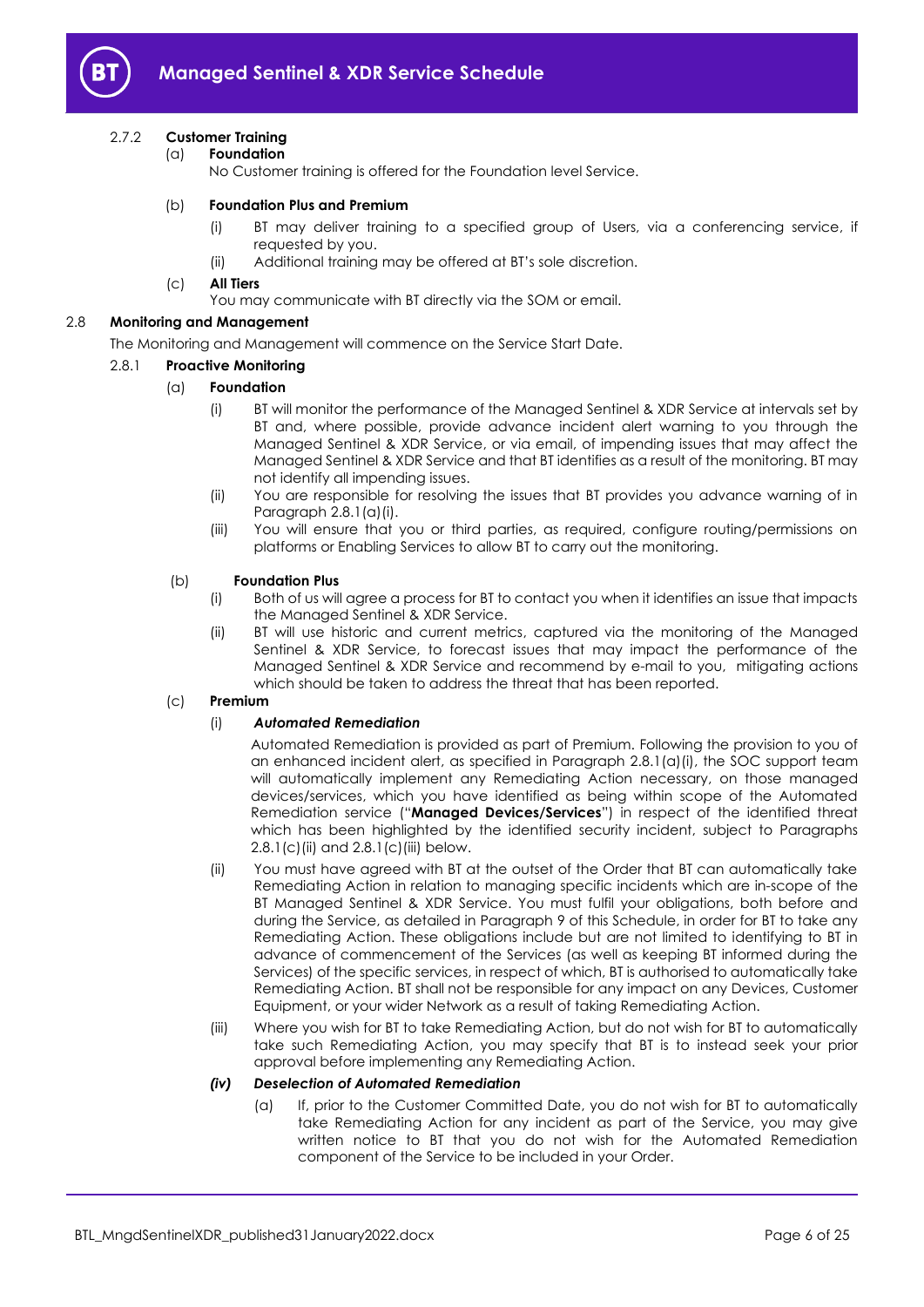

# 2.7.2 **Customer Training**

(a) **Foundation**

No Customer training is offered for the Foundation level Service.

# (b) **Foundation Plus and Premium**

- (i) BT may deliver training to a specified group of Users, via a conferencing service, if requested by you.
- (ii) Additional training may be offered at BT's sole discretion.
- (c) **All Tiers**

You may communicate with BT directly via the SOM or email.

# <span id="page-5-3"></span>2.8 **Monitoring and Management**

The Monitoring and Management will commence on the Service Start Date.

# <span id="page-5-0"></span>2.8.1 **Proactive Monitoring**

# (a) **Foundation**

- (i) BT will monitor the performance of the Managed Sentinel & XDR Service at intervals set by BT and, where possible, provide advance incident alert warning to you through the Managed Sentinel & XDR Service, or via email, of impending issues that may affect the Managed Sentinel & XDR Service and that BT identifies as a result of the monitoring. BT may not identify all impending issues.
- (ii) You are responsible for resolving the issues that BT provides you advance warning of in Paragraph [2.8.1\(a\)\(i\).](#page-5-0)
- (iii) You will ensure that you or third parties, as required, configure routing/permissions on platforms or Enabling Services to allow BT to carry out the monitoring.

#### (b) **Foundation Plus**

- (i) Both of us will agree a process for BT to contact you when it identifies an issue that impacts the Managed Sentinel & XDR Service.
- (ii) BT will use historic and current metrics, captured via the monitoring of the Managed Sentinel & XDR Service, to forecast issues that may impact the performance of the Managed Sentinel & XDR Service and recommend by e-mail to you, mitigating actions which should be taken to address the threat that has been reported.

#### (c) **Premium**

#### (i) *Automated Remediation*

Automated Remediation is provided as part of Premium. Following the provision to you of an enhanced incident alert, as specified in Paragraph 2.8.1(a)(i), the SOC support team will automatically implement any Remediating Action necessary, on those managed devices/services, which you have identified as being within scope of the Automated Remediation service ("**Managed Devices/Services**") in respect of the identified threat which has been highlighted by the identified security incident, subject to Paragraphs 2.8.1(c)(ii) and 2.8.1(c)(iii) below.

- (ii) You must have agreed with BT at the outset of the Order that BT can automatically take Remediating Action in relation to managing specific incidents which are in-scope of the BT Managed Sentinel & XDR Service. You must fulfil your obligations, both before and during the Service, as detailed in Paragraph 9 of this Schedule, in order for BT to take any Remediating Action. These obligations include but are not limited to identifying to BT in advance of commencement of the Services (as well as keeping BT informed during the Services) of the specific services, in respect of which, BT is authorised to automatically take Remediating Action. BT shall not be responsible for any impact on any Devices, Customer Equipment, or your wider Network as a result of taking Remediating Action.
- (iii) Where you wish for BT to take Remediating Action, but do not wish for BT to automatically take such Remediating Action, you may specify that BT is to instead seek your prior approval before implementing any Remediating Action.

#### <span id="page-5-2"></span><span id="page-5-1"></span>*(iv) Deselection of Automated Remediation*

(a) If, prior to the Customer Committed Date, you do not wish for BT to automatically take Remediating Action for any incident as part of the Service, you may give written notice to BT that you do not wish for the Automated Remediation component of the Service to be included in your Order.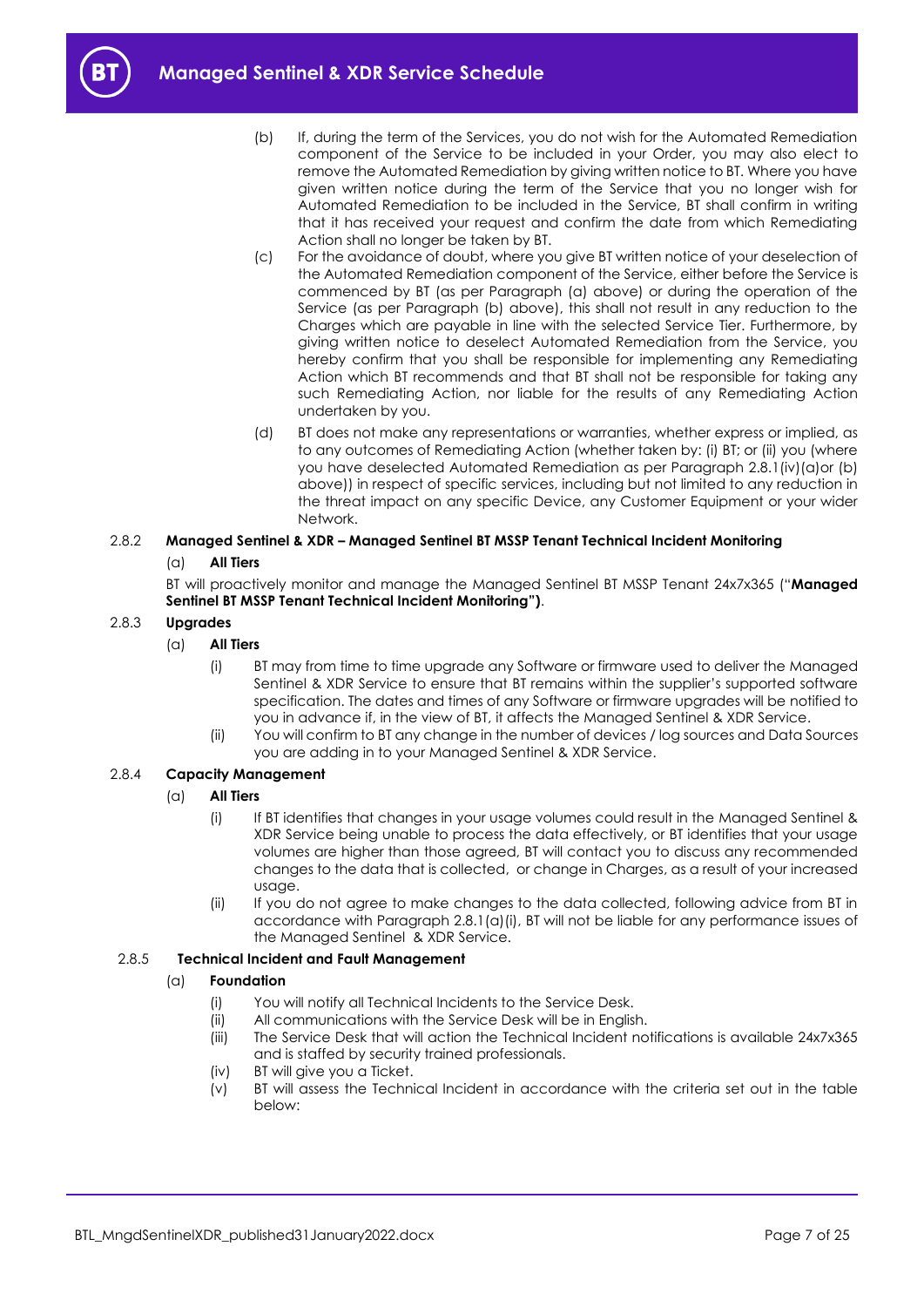<span id="page-6-0"></span>

- (b) If, during the term of the Services, you do not wish for the Automated Remediation component of the Service to be included in your Order, you may also elect to remove the Automated Remediation by giving written notice to BT. Where you have given written notice during the term of the Service that you no longer wish for Automated Remediation to be included in the Service, BT shall confirm in writing that it has received your request and confirm the date from which Remediating Action shall no longer be taken by BT.
- (c) For the avoidance of doubt, where you give BT written notice of your deselection of the Automated Remediation component of the Service, either before the Service is commenced by BT (as per Paragraph [\(a\)](#page-5-1) above) or during the operation of the Service (as per Paragraph [\(b\)](#page-6-0) above), this shall not result in any reduction to the Charges which are payable in line with the selected Service Tier. Furthermore, by giving written notice to deselect Automated Remediation from the Service, you hereby confirm that you shall be responsible for implementing any Remediating Action which BT recommends and that BT shall not be responsible for taking any such Remediating Action, nor liable for the results of any Remediating Action undertaken by you.
- (d) BT does not make any representations or warranties, whether express or implied, as to any outcomes of Remediating Action (whether taken by: (i) BT; or (ii) you (where you have deselected Automated Remediation as per Paragraph 2.8.[1\(iv\)\(](#page-5-2)a)or (b) above)) in respect of specific services, including but not limited to any reduction in the threat impact on any specific Device, any Customer Equipment or your wider Network.

# 2.8.2 **Managed Sentinel & XDR – Managed Sentinel BT MSSP Tenant Technical Incident Monitoring** (a) **All Tiers**

BT will proactively monitor and manage the Managed Sentinel BT MSSP Tenant 24x7x365 ("**Managed Sentinel BT MSSP Tenant Technical Incident Monitoring")**.

# 2.8.3 **Upgrades**

- (a) **All Tiers**
	- (i) BT may from time to time upgrade any Software or firmware used to deliver the Managed Sentinel & XDR Service to ensure that BT remains within the supplier's supported software specification. The dates and times of any Software or firmware upgrades will be notified to you in advance if, in the view of BT, it affects the Managed Sentinel & XDR Service.
	- (ii) You will confirm to BT any change in the number of devices / log sources and Data Sources you are adding in to your Managed Sentinel & XDR Service.

# <span id="page-6-1"></span>2.8.4 **Capacity Management**

# (a) **All Tiers**

- (i) If BT identifies that changes in your usage volumes could result in the Managed Sentinel & XDR Service being unable to process the data effectively, or BT identifies that your usage volumes are higher than those agreed, BT will contact you to discuss any recommended changes to the data that is collected, or change in Charges, as a result of your increased usage.
- (ii) If you do not agree to make changes to the data collected, following advice from BT in accordance with Paragraph [2.8.1\(a\)\(i\),](#page-6-1) BT will not be liable for any performance issues of the Managed Sentinel & XDR Service.

# <span id="page-6-3"></span><span id="page-6-2"></span>2.8.5 **Technical Incident and Fault Management**

# (a) **Foundation**

- (i) You will notify all Technical Incidents to the Service Desk.
- (ii) All communications with the Service Desk will be in English.
- (iii) The Service Desk that will action the Technical Incident notifications is available 24x7x365 and is staffed by security trained professionals.
- (iv) BT will give you a Ticket.
- (v) BT will assess the Technical Incident in accordance with the criteria set out in the table below: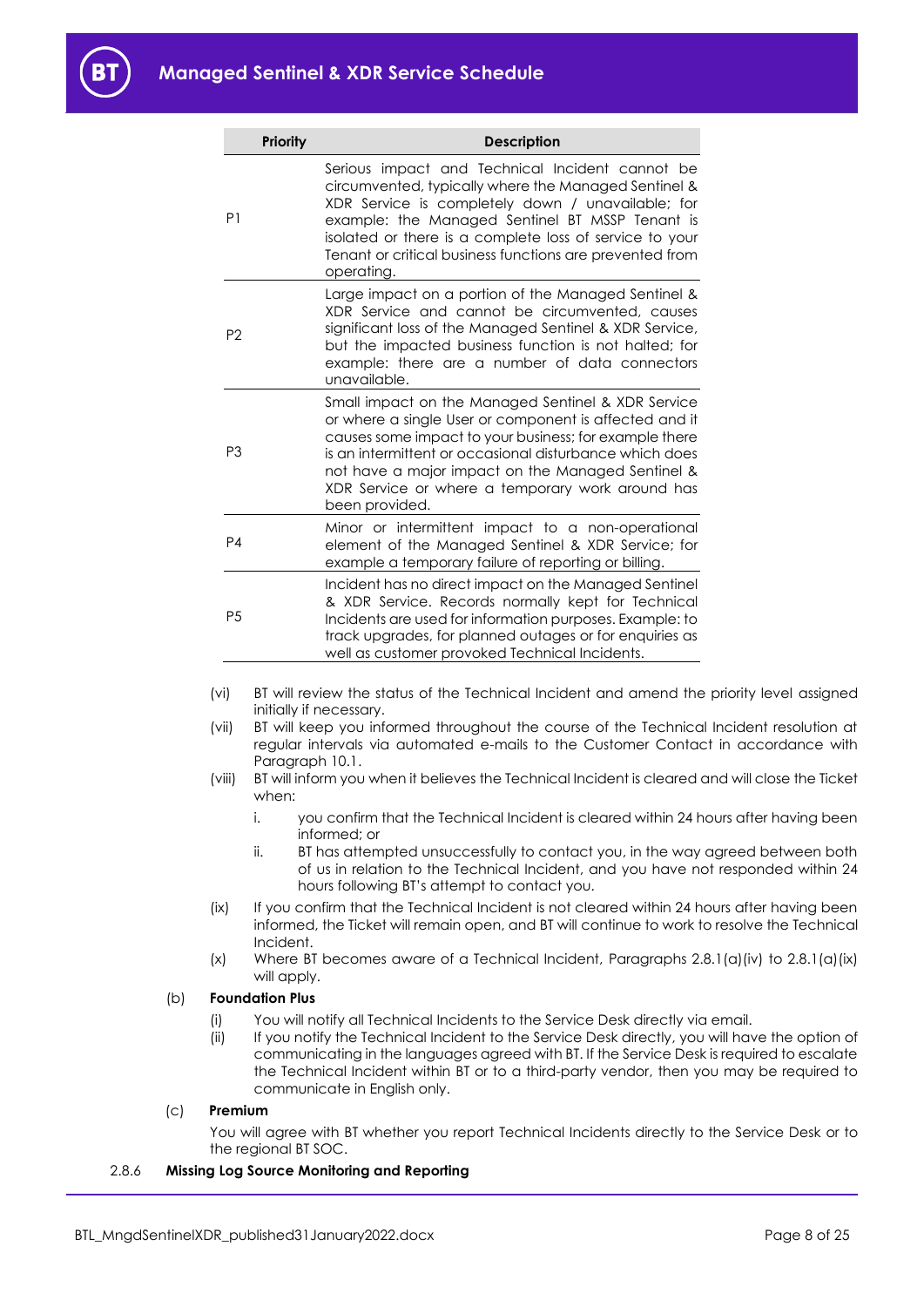| <b>Priority</b> | <b>Description</b>                                                                                                                                                                                                                                                                                                                                           |
|-----------------|--------------------------------------------------------------------------------------------------------------------------------------------------------------------------------------------------------------------------------------------------------------------------------------------------------------------------------------------------------------|
| P1              | Serious impact and Technical Incident cannot be<br>circumvented, typically where the Managed Sentinel &<br>XDR Service is completely down / unavailable; for<br>example: the Managed Sentinel BT MSSP Tenant is<br>isolated or there is a complete loss of service to your<br>Tenant or critical business functions are prevented from<br>operating.         |
| P <sub>2</sub>  | Large impact on a portion of the Managed Sentinel &<br>XDR Service and cannot be circumvented, causes<br>significant loss of the Managed Sentinel & XDR Service,<br>but the impacted business function is not halted; for<br>example: there are a number of data connectors<br>unavailable.                                                                  |
| P <sub>3</sub>  | Small impact on the Managed Sentinel & XDR Service<br>or where a single User or component is affected and it<br>causes some impact to your business; for example there<br>is an intermittent or occasional disturbance which does<br>not have a major impact on the Managed Sentinel &<br>XDR Service or where a temporary work around has<br>been provided. |
| P <sub>4</sub>  | Minor or intermittent impact to a non-operational<br>element of the Managed Sentinel & XDR Service; for<br>example a temporary failure of reporting or billing.                                                                                                                                                                                              |
| P <sub>5</sub>  | Incident has no direct impact on the Managed Sentinel<br>& XDR Service. Records normally kept for Technical<br>Incidents are used for information purposes. Example: to<br>track upgrades, for planned outages or for enquiries as<br>well as customer provoked Technical Incidents.                                                                         |

- (vi) BT will review the status of the Technical Incident and amend the priority level assigned initially if necessary.
- (vii) BT will keep you informed throughout the course of the Technical Incident resolution at regular intervals via automated e-mails to the Customer Contact in accordance with Paragraph 10.1.
- (viii) BT will inform you when it believes the Technical Incident is cleared and will close the Ticket when:
	- i. you confirm that the Technical Incident is cleared within 24 hours after having been informed; or
	- ii. BT has attempted unsuccessfully to contact you, in the way agreed between both of us in relation to the Technical Incident, and you have not responded within 24 hours following BT's attempt to contact you.
- (ix) If you confirm that the Technical Incident is not cleared within 24 hours after having been informed, the Ticket will remain open, and BT will continue to work to resolve the Technical Incident.
- (x) Where BT becomes aware of a Technical Incident, Paragraphs  $2.8.1(q)(iv)$  to  $2.8.1(q)(ix)$ will apply.

# <span id="page-7-0"></span>(b) **Foundation Plus**

- (i) You will notify all Technical Incidents to the Service Desk directly via email.
- (ii) If you notify the Technical Incident to the Service Desk directly, you will have the option of communicating in the languages agreed with BT. If the Service Desk is required to escalate the Technical Incident within BT or to a third-party vendor, then you may be required to communicate in English only.

#### (c) **Premium**

You will agree with BT whether you report Technical Incidents directly to the Service Desk or to the regional BT SOC.

## 2.8.6 **Missing Log Source Monitoring and Reporting**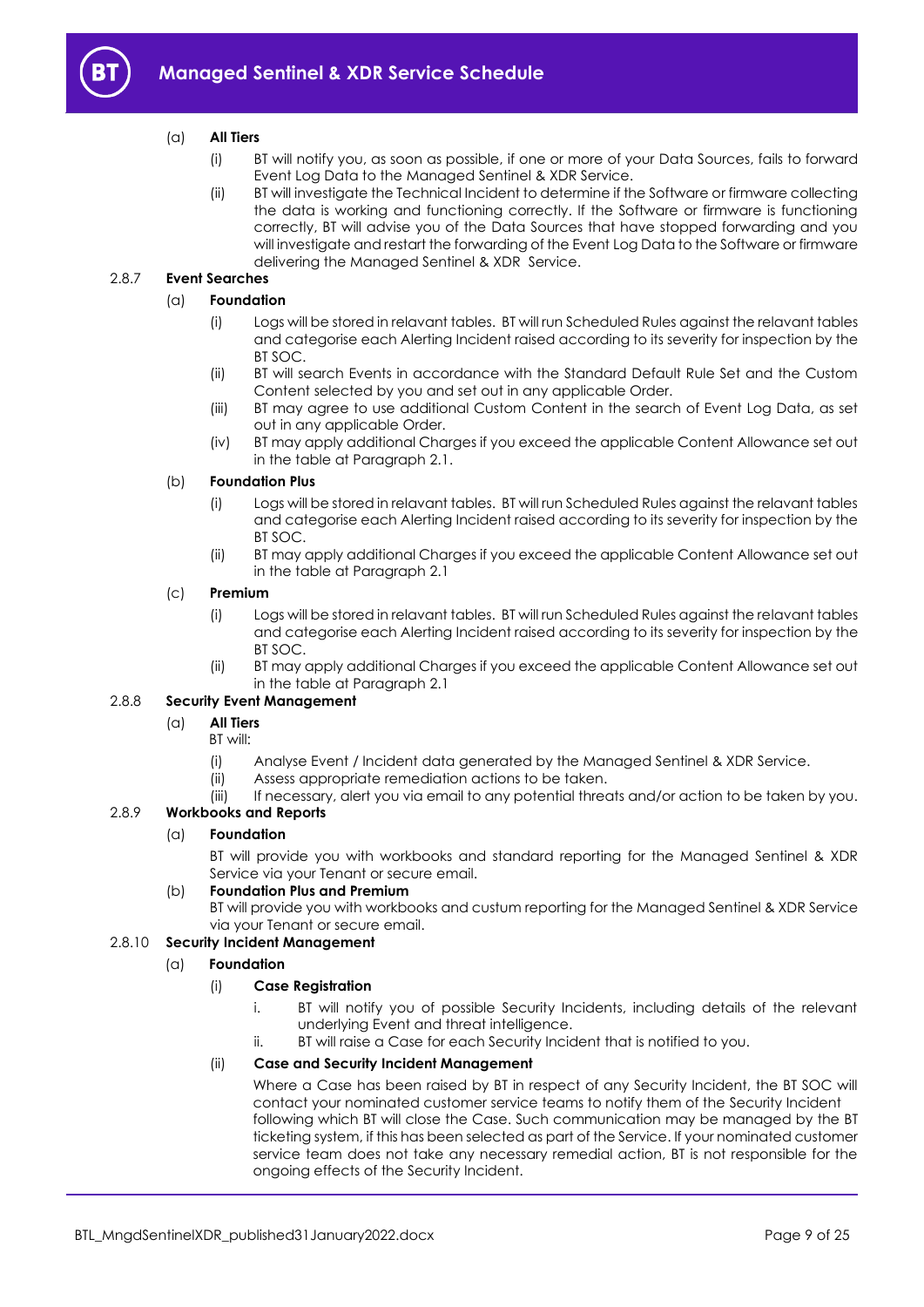

# (a) **All Tiers**

- (i) BT will notify you, as soon as possible, if one or more of your Data Sources, fails to forward Event Log Data to the Managed Sentinel & XDR Service.
- (ii) BT will investigate the Technical Incident to determine if the Software or firmware collecting the data is working and functioning correctly. If the Software or firmware is functioning correctly, BT will advise you of the Data Sources that have stopped forwarding and you will investigate and restart the forwarding of the Event Log Data to the Software or firmware delivering the Managed Sentinel & XDR Service.

# 2.8.7 **Event Searches**

# (a) **Foundation**

- (i) Logs will be stored in relavant tables. BT will run Scheduled Rules against the relavant tables and categorise each Alerting Incident raised according to its severity for inspection by the BT SOC.
- (ii) BT will search Events in accordance with the Standard Default Rule Set and the Custom Content selected by you and set out in any applicable Order.
- (iii) BT may agree to use additional Custom Content in the search of Event Log Data, as set out in any applicable Order.
- (iv) BT may apply additional Charges if you exceed the applicable Content Allowance set out in the table at Paragraph [2.1.](#page-1-6)

#### (b) **Foundation Plus**

- (i) Logs will be stored in relavant tables. BT will run Scheduled Rules against the relavant tables and categorise each Alerting Incident raised according to its severity for inspection by the BT SOC.
- (ii) BT may apply additional Charges if you exceed the applicable Content Allowance set out in the table at Paragraph [2.1](#page-1-6)

#### (c) **Premium**

- (i) Logs will be stored in relavant tables. BT will run Scheduled Rules against the relavant tables and categorise each Alerting Incident raised according to its severity for inspection by the  $BTSOC$
- (ii) BT may apply additional Charges if you exceed the applicable Content Allowance set out in the table at Paragraph [2.1](#page-1-6)

#### 2.8.8 **Security Event Management**

#### (a) **All Tiers**

- BT will:
- (i) Analyse Event / Incident data generated by the Managed Sentinel & XDR Service.
- (ii) Assess appropriate remediation actions to be taken.
- (iii) If necessary, alert you via email to any potential threats and/or action to be taken by you.

# 2.8.9 **Workbooks and Reports**

#### (a) **Foundation**

BT will provide you with workbooks and standard reporting for the Managed Sentinel & XDR Service via your Tenant or secure email.

# (b) **Foundation Plus and Premium**

BT will provide you with workbooks and custum reporting for the Managed Sentinel & XDR Service via your Tenant or secure email.

# 2.8.10 **Security Incident Management**

#### (a) **Foundation**

#### (i) **Case Registration**

- i. BT will notify you of possible Security Incidents, including details of the relevant underlying Event and threat intelligence.
- ii. BT will raise a Case for each Security Incident that is notified to you.

# (ii) **Case and Security Incident Management**

Where a Case has been raised by BT in respect of any Security Incident, the BT SOC will contact your nominated customer service teams to notify them of the Security Incident following which BT will close the Case. Such communication may be managed by the BT ticketing system, if this has been selected as part of the Service. If your nominated customer service team does not take any necessary remedial action, BT is not responsible for the ongoing effects of the Security Incident.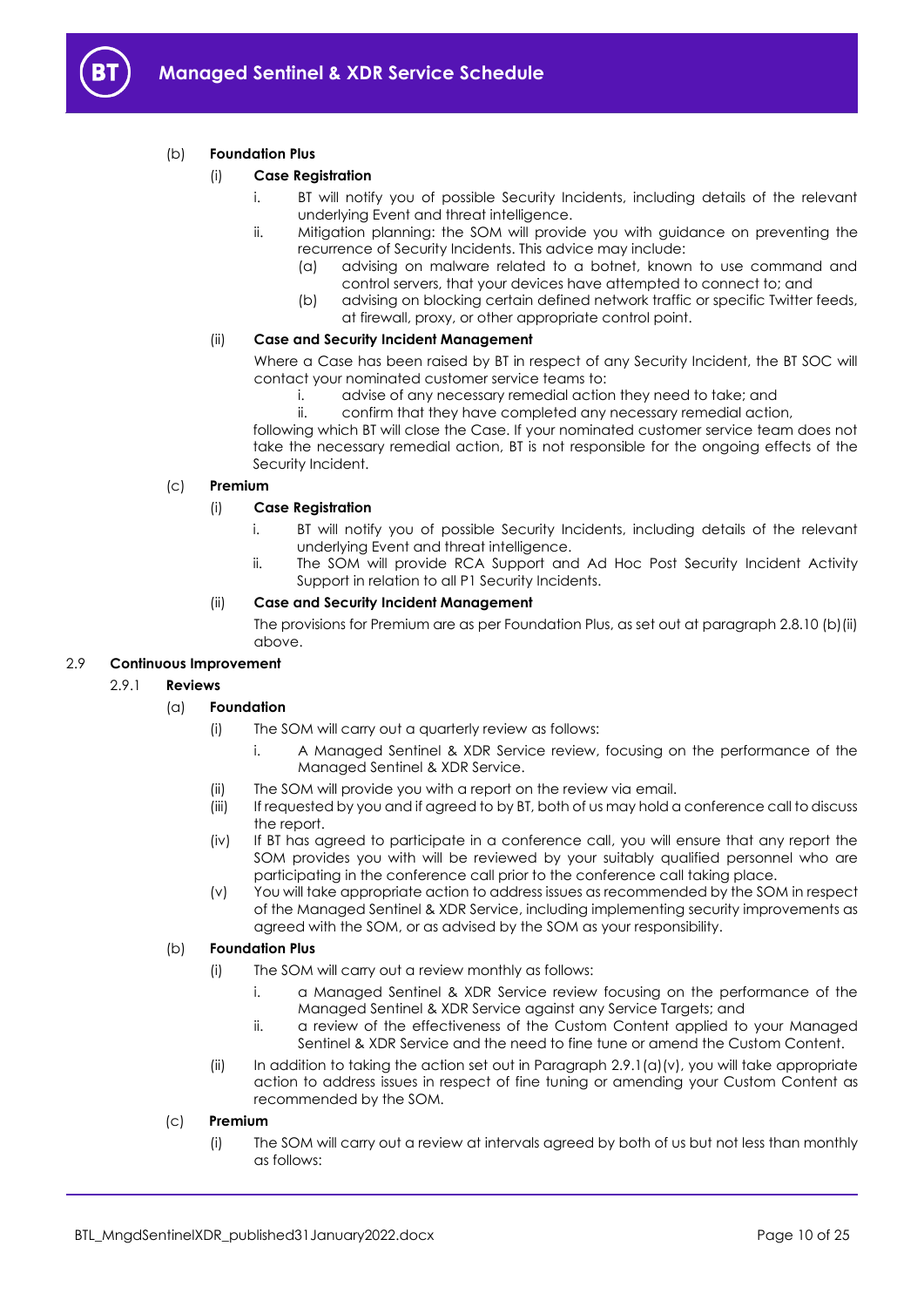

# (b) **Foundation Plus**

# (i) **Case Registration**

- i. BT will notify you of possible Security Incidents, including details of the relevant underlying Event and threat intelligence.
- ii. Mitigation planning: the SOM will provide you with guidance on preventing the recurrence of Security Incidents. This advice may include:
	- (a) advising on malware related to a botnet, known to use command and control servers, that your devices have attempted to connect to; and
	- (b) advising on blocking certain defined network traffic or specific Twitter feeds, at firewall, proxy, or other appropriate control point.

#### (ii) **Case and Security Incident Management**

Where a Case has been raised by BT in respect of any Security Incident, the BT SOC will contact your nominated customer service teams to:

- i. advise of any necessary remedial action they need to take; and
- ii. confirm that they have completed any necessary remedial action,

following which BT will close the Case. If your nominated customer service team does not take the necessary remedial action, BT is not responsible for the ongoing effects of the Security Incident.

# (c) **Premium**

# (i) **Case Registration**

- i. BT will notify you of possible Security Incidents, including details of the relevant underlying Event and threat intelligence.
- ii. The SOM will provide RCA Support and Ad Hoc Post Security Incident Activity Support in relation to all P1 Security Incidents.

# (ii) **Case and Security Incident Management**

The provisions for Premium are as per Foundation Plus, as set out at paragraph 2.8.10 (b)(ii) above.

#### <span id="page-9-1"></span>2.9 **Continuous Improvement**

#### 2.9.1 **Reviews**

# (a) **Foundation**

- (i) The SOM will carry out a quarterly review as follows:
	- i. A Managed Sentinel & XDR Service review, focusing on the performance of the Managed Sentinel & XDR Service.
- (ii) The SOM will provide you with a report on the review via email.
- (iii) If requested by you and if agreed to by BT, both of us may hold a conference call to discuss the report.
- (iv) If BT has agreed to participate in a conference call, you will ensure that any report the SOM provides you with will be reviewed by your suitably qualified personnel who are participating in the conference call prior to the conference call taking place.
- (v) You will take appropriate action to address issues as recommended by the SOM in respect of the Managed Sentinel & XDR Service, including implementing security improvements as agreed with the SOM, or as advised by the SOM as your responsibility.

#### <span id="page-9-0"></span>(b) **Foundation Plus**

- (i) The SOM will carry out a review monthly as follows:
	- i. a Managed Sentinel & XDR Service review focusing on the performance of the Managed Sentinel & XDR Service against any Service Targets; and
	- ii. a review of the effectiveness of the Custom Content applied to your Managed Sentinel & XDR Service and the need to fine tune or amend the Custom Content.
- (ii) In addition to taking the action set out in Paragraph  $2.9.1(q)(v)$ , you will take appropriate action to address issues in respect of fine tuning or amending your Custom Content as recommended by the SOM.

#### (c) **Premium**

(i) The SOM will carry out a review at intervals agreed by both of us but not less than monthly as follows: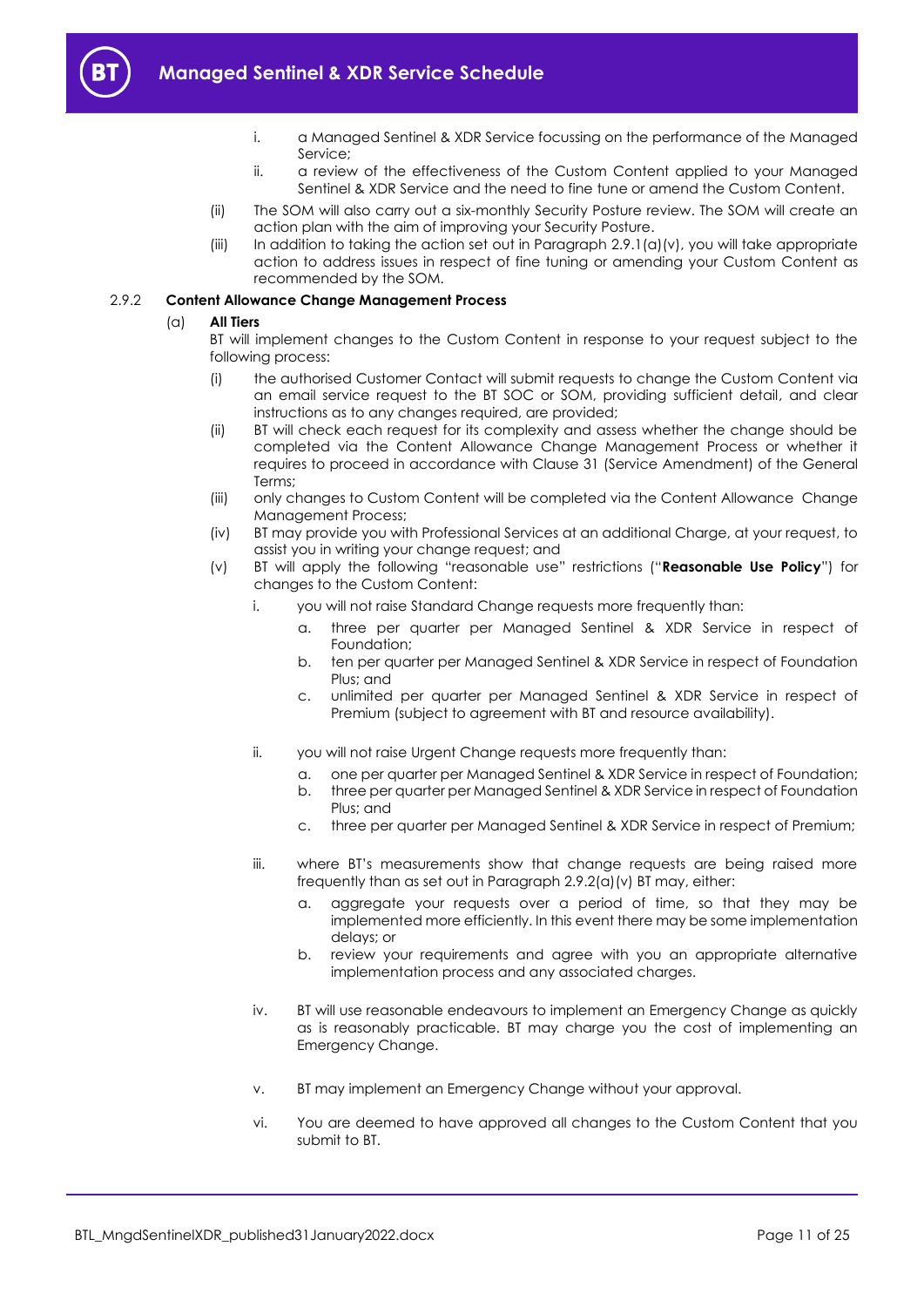- 
- i. a Managed Sentinel & XDR Service focussing on the performance of the Managed Service;
- ii. a review of the effectiveness of the Custom Content applied to your Managed Sentinel & XDR Service and the need to fine tune or amend the Custom Content.
- (ii) The SOM will also carry out a six-monthly Security Posture review. The SOM will create an action plan with the aim of improving your Security Posture.
- (iii) In addition to taking the action set out in Paragraph [2.9.1\(a\)\(v\),](#page-9-0) you will take appropriate action to address issues in respect of fine tuning or amending your Custom Content as recommended by the SOM.

# <span id="page-10-0"></span>2.9.2 **Content Allowance Change Management Process**

# (a) **All Tiers**

BT will implement changes to the Custom Content in response to your request subject to the following process:

- (i) the authorised Customer Contact will submit requests to change the Custom Content via an email service request to the BT SOC or SOM, providing sufficient detail, and clear instructions as to any changes required, are provided;
- (ii) BT will check each request for its complexity and assess whether the change should be completed via the Content Allowance Change Management Process or whether it requires to proceed in accordance with Clause 31 (Service Amendment) of the General Terms;
- (iii) only changes to Custom Content will be completed via the Content Allowance Change Management Process;
- (iv) BT may provide you with Professional Services at an additional Charge, at your request, to assist you in writing your change request; and
- <span id="page-10-1"></span>(v) BT will apply the following "reasonable use" restrictions ("**Reasonable Use Policy**") for changes to the Custom Content:
	- i. you will not raise Standard Change requests more frequently than:
		- a. three per quarter per Managed Sentinel & XDR Service in respect of Foundation;
		- b. ten per quarter per Managed Sentinel & XDR Service in respect of Foundation Plus; and
		- c. unlimited per quarter per Managed Sentinel & XDR Service in respect of Premium (subject to agreement with BT and resource availability).
	- ii. you will not raise Urgent Change requests more frequently than:
		- a. one per quarter per Managed Sentinel & XDR Service in respect of Foundation;
		- b. three per quarter per Managed Sentinel & XDR Service in respect of Foundation Plus; and
		- c. three per quarter per Managed Sentinel & XDR Service in respect of Premium;
	- iii. where BT's measurements show that change requests are being raised more frequently than as set out in Paragraph 2.9.2(a[\)\(v\)](#page-10-1) BT may, either:
		- a. aggregate your requests over a period of time, so that they may be implemented more efficiently. In this event there may be some implementation delays; or
		- b. review your requirements and agree with you an appropriate alternative implementation process and any associated charges.
	- iv. BT will use reasonable endeavours to implement an Emergency Change as quickly as is reasonably practicable. BT may charge you the cost of implementing an Emergency Change.
	- v. BT may implement an Emergency Change without your approval.
	- vi. You are deemed to have approved all changes to the Custom Content that you submit to BT.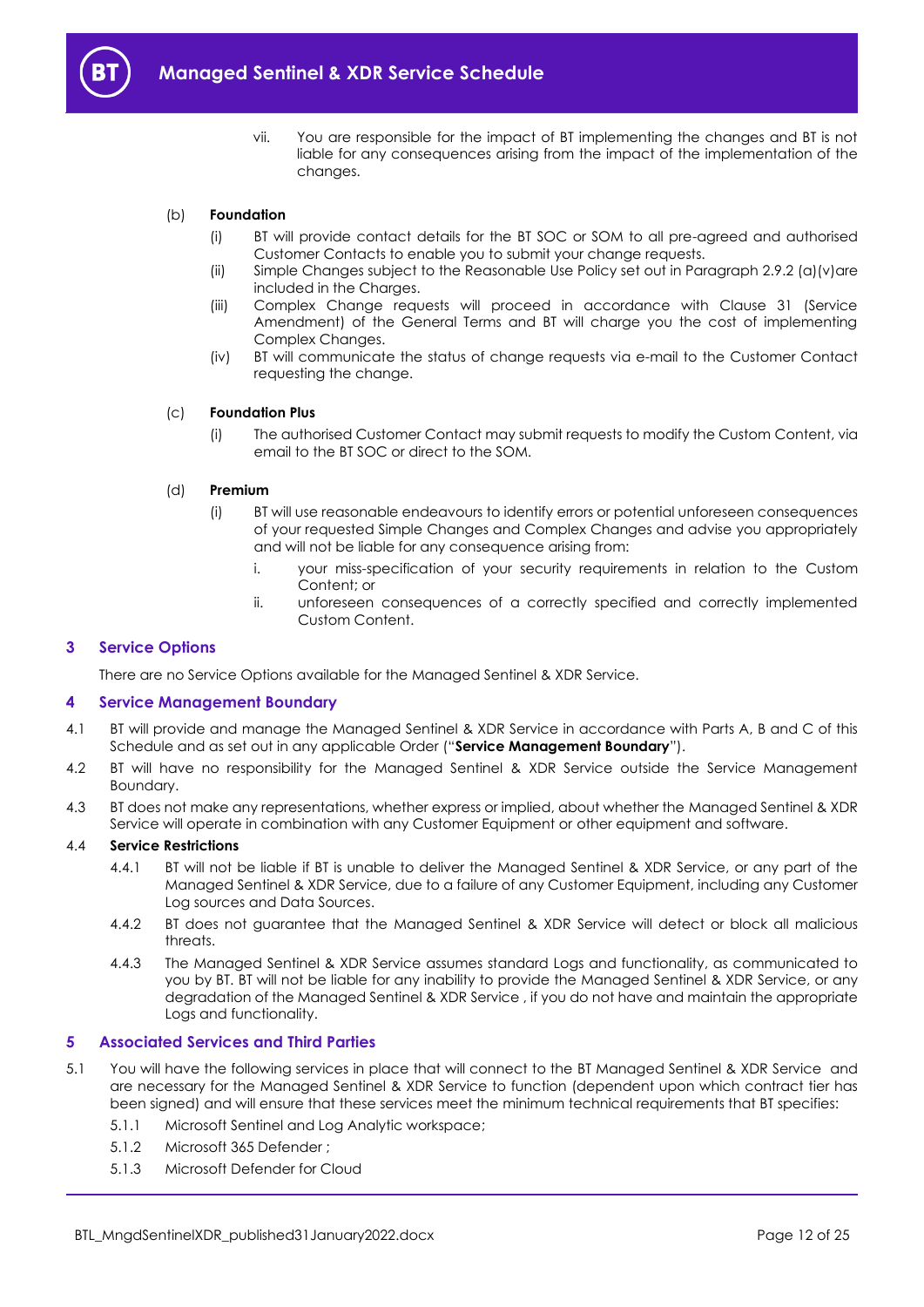

vii. You are responsible for the impact of BT implementing the changes and BT is not liable for any consequences arising from the impact of the implementation of the changes.

# <span id="page-11-3"></span>(b) **Foundation**

- (i) BT will provide contact details for the BT SOC or SOM to all pre-agreed and authorised Customer Contacts to enable you to submit your change requests.
- (ii) Simple Changes subject to the Reasonable Use Policy set out in Paragraph 2.9.[2 \(a\)\(v\)a](#page-10-1)re included in the Charges.
- (iii) Complex Change requests will proceed in accordance with Clause 31 (Service Amendment) of the General Terms and BT will charge you the cost of implementing Complex Changes.
- (iv) BT will communicate the status of change requests via e-mail to the Customer Contact requesting the change.

#### (c) **Foundation Plus**

(i) The authorised Customer Contact may submit requests to modify the Custom Content, via email to the BT SOC or direct to the SOM.

#### (d) **Premium**

- (i) BT will use reasonable endeavours to identify errors or potential unforeseen consequences of your requested Simple Changes and Complex Changes and advise you appropriately and will not be liable for any consequence arising from:
	- i. your miss-specification of your security requirements in relation to the Custom Content; or
	- ii. unforeseen consequences of a correctly specified and correctly implemented Custom Content.

#### <span id="page-11-0"></span>**3 Service Options**

There are no Service Options available for the Managed Sentinel & XDR Service.

#### <span id="page-11-1"></span>**4 Service Management Boundary**

- <span id="page-11-5"></span>4.1 BT will provide and manage the Managed Sentinel & XDR Service in accordance with Parts A, B and C of this Schedule and as set out in any applicable Order ("**Service Management Boundary**").
- 4.2 BT will have no responsibility for the Managed Sentinel & XDR Service outside the Service Management Boundary.
- 4.3 BT does not make any representations, whether express or implied, about whether the Managed Sentinel & XDR Service will operate in combination with any Customer Equipment or other equipment and software.

# 4.4 **Service Restrictions**

- 4.4.1 BT will not be liable if BT is unable to deliver the Managed Sentinel & XDR Service, or any part of the Managed Sentinel & XDR Service, due to a failure of any Customer Equipment, including any Customer Log sources and Data Sources.
- 4.4.2 BT does not guarantee that the Managed Sentinel & XDR Service will detect or block all malicious threats.
- 4.4.3 The Managed Sentinel & XDR Service assumes standard Logs and functionality, as communicated to you by BT. BT will not be liable for any inability to provide the Managed Sentinel & XDR Service, or any degradation of the Managed Sentinel & XDR Service , if you do not have and maintain the appropriate Logs and functionality.

#### <span id="page-11-2"></span>**5 Associated Services and Third Parties**

- <span id="page-11-4"></span>5.1 You will have the following services in place that will connect to the BT Managed Sentinel & XDR Service and are necessary for the Managed Sentinel & XDR Service to function (dependent upon which contract tier has been signed) and will ensure that these services meet the minimum technical requirements that BT specifies:
	- 5.1.1 Microsoft Sentinel and Log Analytic workspace;
	- 5.1.2 Microsoft 365 Defender ;
	- 5.1.3 Microsoft Defender for Cloud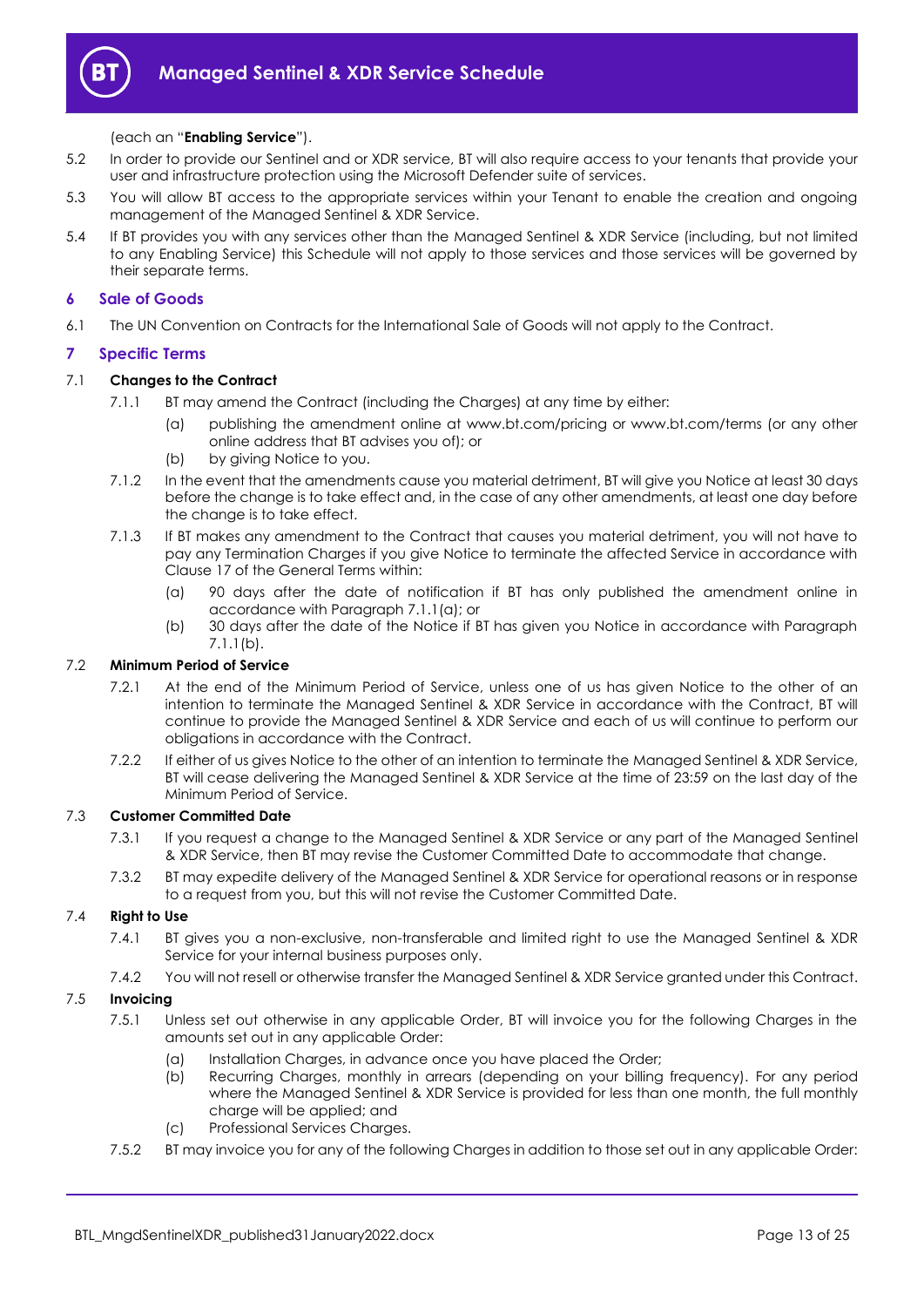

# (each an "**Enabling Service**").

- 5.2 In order to provide our Sentinel and or XDR service, BT will also require access to your tenants that provide your user and infrastructure protection using the Microsoft Defender suite of services.
- 5.3 You will allow BT access to the appropriate services within your Tenant to enable the creation and ongoing management of the Managed Sentinel & XDR Service.
- 5.4 If BT provides you with any services other than the Managed Sentinel & XDR Service (including, but not limited to any Enabling Service) this Schedule will not apply to those services and those services will be governed by their separate terms.

# <span id="page-12-0"></span>**6 Sale of Goods**

6.1 The UN Convention on Contracts for the International Sale of Goods will not apply to the Contract.

# <span id="page-12-1"></span>**7 Specific Terms**

# <span id="page-12-2"></span>7.1 **Changes to the Contract**

- 7.1.1 BT may amend the Contract (including the Charges) at any time by either:
	- (a) publishing the amendment online at www.bt.com/pricing or www.bt.com/terms (or any other online address that BT advises you of); or
	- (b) by giving Notice to you.
- <span id="page-12-3"></span>7.1.2 In the event that the amendments cause you material detriment, BT will give you Notice at least 30 days before the change is to take effect and, in the case of any other amendments, at least one day before the change is to take effect.
- 7.1.3 If BT makes any amendment to the Contract that causes you material detriment, you will not have to pay any Termination Charges if you give Notice to terminate the affected Service in accordance with Clause 17 of the General Terms within:
	- (a) 90 days after the date of notification if BT has only published the amendment online in accordance with Paragrap[h 7.1.1\(a\);](#page-12-2) or
	- (b) 30 days after the date of the Notice if BT has given you Notice in accordance with Paragraph [7.1.1\(b\).](#page-12-3)

#### 7.2 **Minimum Period of Service**

- 7.2.1 At the end of the Minimum Period of Service, unless one of us has given Notice to the other of an intention to terminate the Managed Sentinel & XDR Service in accordance with the Contract, BT will continue to provide the Managed Sentinel & XDR Service and each of us will continue to perform our obligations in accordance with the Contract.
- 7.2.2 If either of us gives Notice to the other of an intention to terminate the Managed Sentinel & XDR Service, BT will cease delivering the Managed Sentinel & XDR Service at the time of 23:59 on the last day of the Minimum Period of Service.

# <span id="page-12-4"></span>7.3 **Customer Committed Date**

- 7.3.1 If you request a change to the Managed Sentinel & XDR Service or any part of the Managed Sentinel & XDR Service, then BT may revise the Customer Committed Date to accommodate that change.
- 7.3.2 BT may expedite delivery of the Managed Sentinel & XDR Service for operational reasons or in response to a request from you, but this will not revise the Customer Committed Date.

# 7.4 **Right to Use**

- 7.4.1 BT gives you a non-exclusive, non-transferable and limited right to use the Managed Sentinel & XDR Service for your internal business purposes only.
- 7.4.2 You will not resell or otherwise transfer the Managed Sentinel & XDR Service granted under this Contract.

#### 7.5 **Invoicing**

- 7.5.1 Unless set out otherwise in any applicable Order, BT will invoice you for the following Charges in the amounts set out in any applicable Order:
	- (a) Installation Charges, in advance once you have placed the Order;
	- (b) Recurring Charges, monthly in arrears (depending on your billing frequency). For any period where the Managed Sentinel & XDR Service is provided for less than one month, the full monthly charge will be applied; and
	- (c) Professional Services Charges.
- 7.5.2 BT may invoice you for any of the following Charges in addition to those set out in any applicable Order: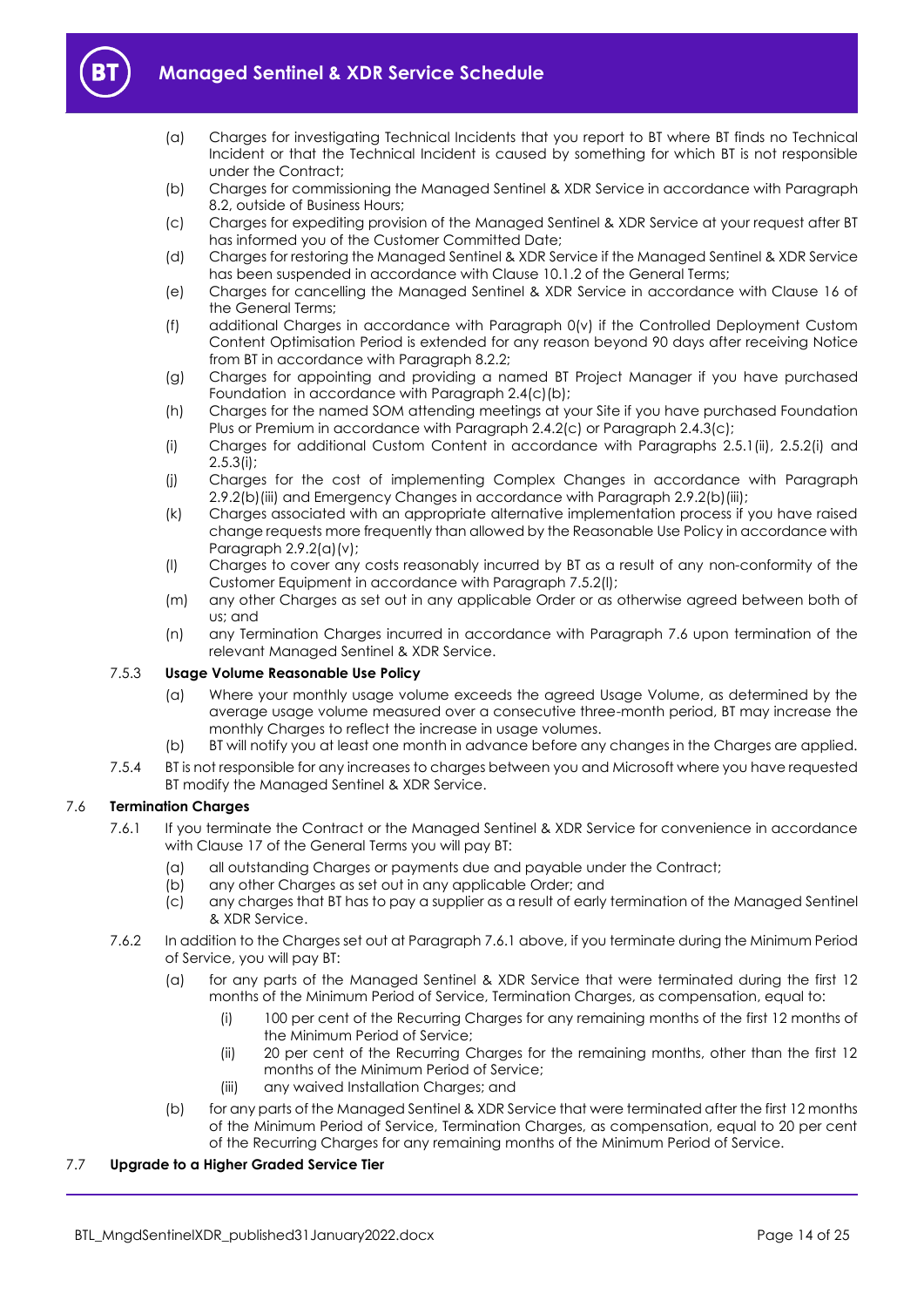

- 
- (a) Charges for investigating Technical Incidents that you report to BT where BT finds no Technical Incident or that the Technical Incident is caused by something for which BT is not responsible under the Contract;
- (b) Charges for commissioning the Managed Sentinel & XDR Service in accordance with Paragraph [8.2,](#page-15-3) outside of Business Hours;
- (c) Charges for expediting provision of the Managed Sentinel & XDR Service at your request after BT has informed you of the Customer Committed Date;
- (d) Charges for restoring the Managed Sentinel & XDR Service if the Managed Sentinel & XDR Service has been suspended in accordance with Clause 10.1.2 of the General Terms;
- (e) Charges for cancelling the Managed Sentinel & XDR Service in accordance with Clause 16 of the General Terms;
- (f) additional Charges in accordance with Paragraph [0\(](#page-4-0)v) if the Controlled Deployment Custom Content Optimisation Period is extended for any reason beyond 90 days after receiving Notice from BT in accordance with Paragraph [8.2.2;](#page-15-4)
- (g) Charges for appointing and providing a named BT Project Manager if you have purchased Foundation in accordance with Paragraph [2.4\(c\)\(b\);](#page-3-0)
- (h) Charges for the named SOM attending meetings at your Site if you have purchased Foundation Plus or Premium in accordance with Paragraph 2.4.2(c) or Paragraph 2.4.3(c);
- (i) Charges for additional Custom Content in accordance with Paragraphs 2.5.1(ii), 2.5.2(i) and 2.5.3(i);
- (j) Charges for the cost of implementing Complex Changes in accordance with Paragraph [2.9.2\(b\)\(iii\)](#page-11-3) and Emergency Changes in accordance with Paragraph [2.9.2\(b\)\(iii\);](#page-11-3)
- (k) Charges associated with an appropriate alternative implementation process if you have raised change requests more frequently than allowed by the Reasonable Use Policy in accordance with Paragraph [2.9.2\(a\)\(v\);](#page-10-1)
- (l) Charges to cover any costs reasonably incurred by BT as a result of any non-conformity of the Customer Equipment in accordance with Paragraph 7.5.2(l);
- (m) any other Charges as set out in any applicable Order or as otherwise agreed between both of us; and
- (n) any Termination Charges incurred in accordance with Paragraph [7.6](#page-13-0) upon termination of the relevant Managed Sentinel & XDR Service.

# 7.5.3 **Usage Volume Reasonable Use Policy**

- (a) Where your monthly usage volume exceeds the agreed Usage Volume, as determined by the average usage volume measured over a consecutive three-month period, BT may increase the monthly Charges to reflect the increase in usage volumes.
- (b) BT will notify you at least one month in advance before any changes in the Charges are applied.
- 7.5.4 BT is not responsible for any increases to charges between you and Microsoft where you have requested BT modify the Managed Sentinel & XDR Service.

# <span id="page-13-1"></span><span id="page-13-0"></span>7.6 **Termination Charges**

- 7.6.1 If you terminate the Contract or the Managed Sentinel & XDR Service for convenience in accordance with Clause 17 of the General Terms you will pay BT:
	- (a) all outstanding Charges or payments due and payable under the Contract;
	- (b) any other Charges as set out in any applicable Order; and
	- (c) any charges that BT has to pay a supplier as a result of early termination of the Managed Sentinel & XDR Service.
- 7.6.2 In addition to the Charges set out at Paragrap[h 7.6.1](#page-13-1) above, if you terminate during the Minimum Period of Service, you will pay BT:
	- (a) for any parts of the Managed Sentinel & XDR Service that were terminated during the first 12 months of the Minimum Period of Service, Termination Charges, as compensation, equal to:
		- (i) 100 per cent of the Recurring Charges for any remaining months of the first 12 months of the Minimum Period of Service;
		- (ii) 20 per cent of the Recurring Charges for the remaining months, other than the first 12 months of the Minimum Period of Service;
		- (iii) any waived Installation Charges; and
	- (b) for any parts of the Managed Sentinel & XDR Service that were terminated after the first 12 months of the Minimum Period of Service, Termination Charges, as compensation, equal to 20 per cent of the Recurring Charges for any remaining months of the Minimum Period of Service.

# 7.7 **Upgrade to a Higher Graded Service Tier**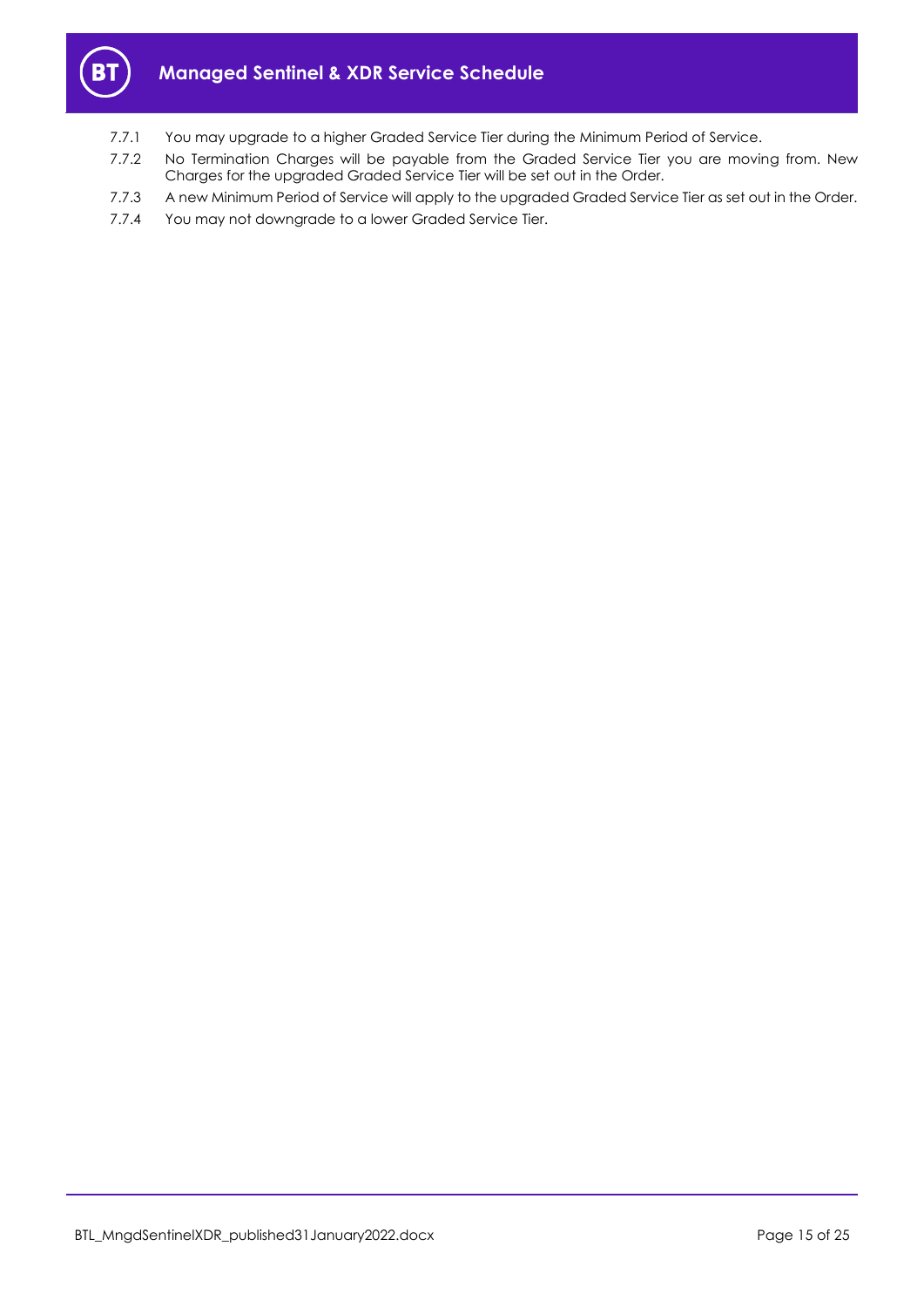

- 7.7.1 You may upgrade to a higher Graded Service Tier during the Minimum Period of Service.
- 7.7.2 No Termination Charges will be payable from the Graded Service Tier you are moving from. New Charges for the upgraded Graded Service Tier will be set out in the Order.
- 7.7.3 A new Minimum Period of Service will apply to the upgraded Graded Service Tier as set out in the Order.
- 7.7.4 You may not downgrade to a lower Graded Service Tier.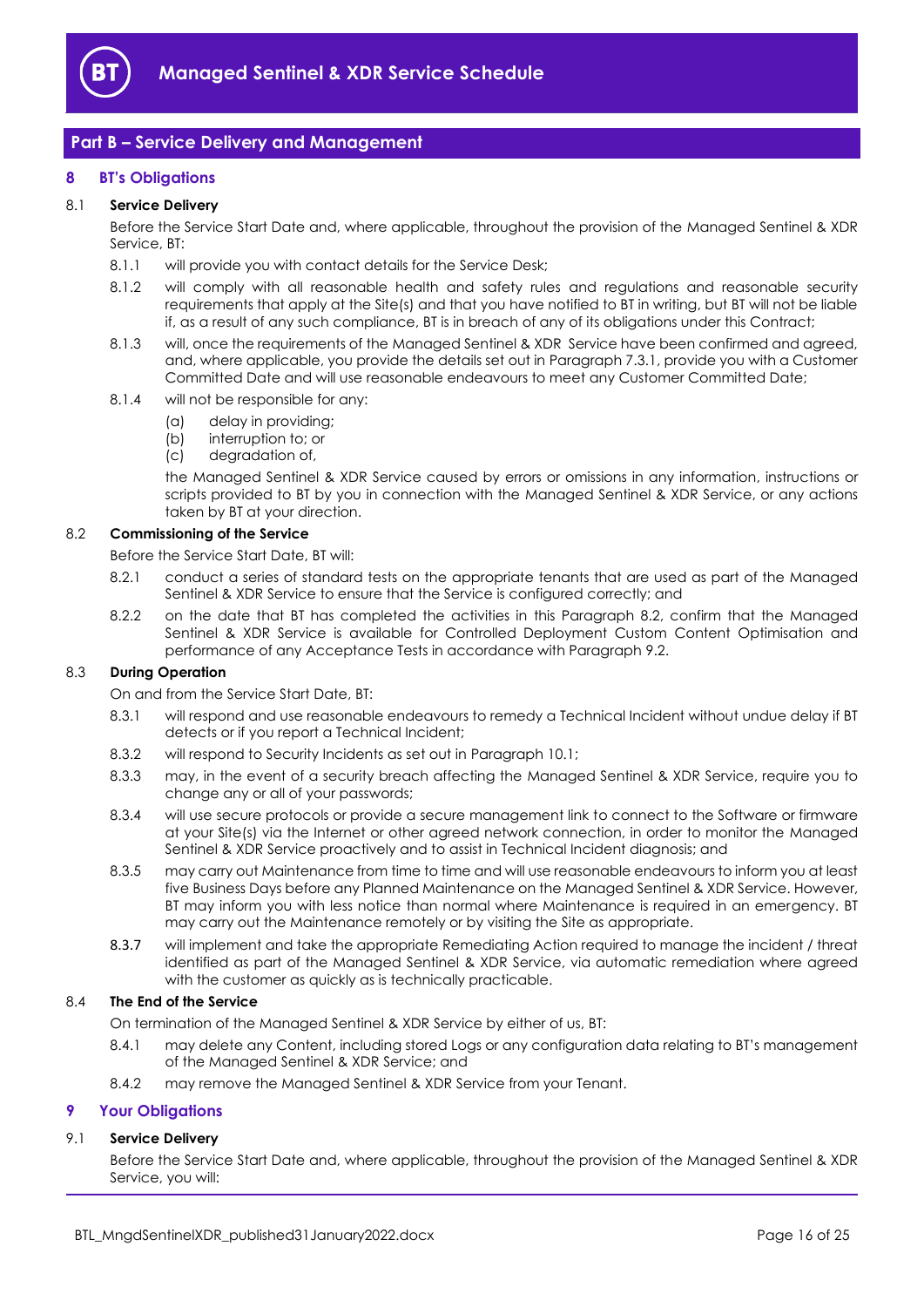

# <span id="page-15-0"></span>**Part B – Service Delivery and Management**

# <span id="page-15-1"></span>**8 BT's Obligations**

# 8.1 **Service Delivery**

Before the Service Start Date and, where applicable, throughout the provision of the Managed Sentinel & XDR Service, BT:

- 8.1.1 will provide you with contact details for the Service Desk;
- 8.1.2 will comply with all reasonable health and safety rules and regulations and reasonable security requirements that apply at the Site(s) and that you have notified to BT in writing, but BT will not be liable if, as a result of any such compliance, BT is in breach of any of its obligations under this Contract;
- 8.1.3 will, once the requirements of the Managed Sentinel & XDR Service have been confirmed and agreed, and, where applicable, you provide the details set out in Paragraph [7.3.1,](#page-12-4) provide you with a Customer Committed Date and will use reasonable endeavours to meet any Customer Committed Date;
- 8.1.4 will not be responsible for any:
	- (a) delay in providing;
	- (b) interruption to; or
	- (c) degradation of,

the Managed Sentinel & XDR Service caused by errors or omissions in any information, instructions or scripts provided to BT by you in connection with the Managed Sentinel & XDR Service, or any actions taken by BT at your direction.

#### <span id="page-15-3"></span>8.2 **Commissioning of the Service**

Before the Service Start Date, BT will:

- 8.2.1 conduct a series of standard tests on the appropriate tenants that are used as part of the Managed Sentinel & XDR Service to ensure that the Service is configured correctly; and
- <span id="page-15-4"></span>8.2.2 on the date that BT has completed the activities in this Paragraph [8.2,](#page-15-3) confirm that the Managed Sentinel & XDR Service is available for Controlled Deployment Custom Content Optimisation and performance of any Acceptance Tests in accordance with Paragraph [9.2.](#page-17-0)

# 8.3 **During Operation**

On and from the Service Start Date, BT:

- 8.3.1 will respond and use reasonable endeavours to remedy a Technical Incident without undue delay if BT detects or if you report a Technical Incident;
- 8.3.2 will respond to Security Incidents as set out in Paragraph 10.1;
- 8.3.3 may, in the event of a security breach affecting the Managed Sentinel & XDR Service, require you to change any or all of your passwords;
- 8.3.4 will use secure protocols or provide a secure management link to connect to the Software or firmware at your Site(s) via the Internet or other agreed network connection, in order to monitor the Managed Sentinel & XDR Service proactively and to assist in Technical Incident diagnosis; and
- 8.3.5 may carry out Maintenance from time to time and will use reasonable endeavours to inform you at least five Business Days before any Planned Maintenance on the Managed Sentinel & XDR Service. However, BT may inform you with less notice than normal where Maintenance is required in an emergency. BT may carry out the Maintenance remotely or by visiting the Site as appropriate.
- 8.3.7 will implement and take the appropriate Remediating Action required to manage the incident / threat identified as part of the Managed Sentinel & XDR Service, via automatic remediation where agreed with the customer as quickly as is technically practicable.

#### 8.4 **The End of the Service**

On termination of the Managed Sentinel & XDR Service by either of us, BT:

- 8.4.1 may delete any Content, including stored Logs or any configuration data relating to BT's management of the Managed Sentinel & XDR Service; and
- 8.4.2 may remove the Managed Sentinel & XDR Service from your Tenant.

#### <span id="page-15-5"></span><span id="page-15-2"></span>**9 Your Obligations**

## 9.1 **Service Delivery**

Before the Service Start Date and, where applicable, throughout the provision of the Managed Sentinel & XDR Service, you will: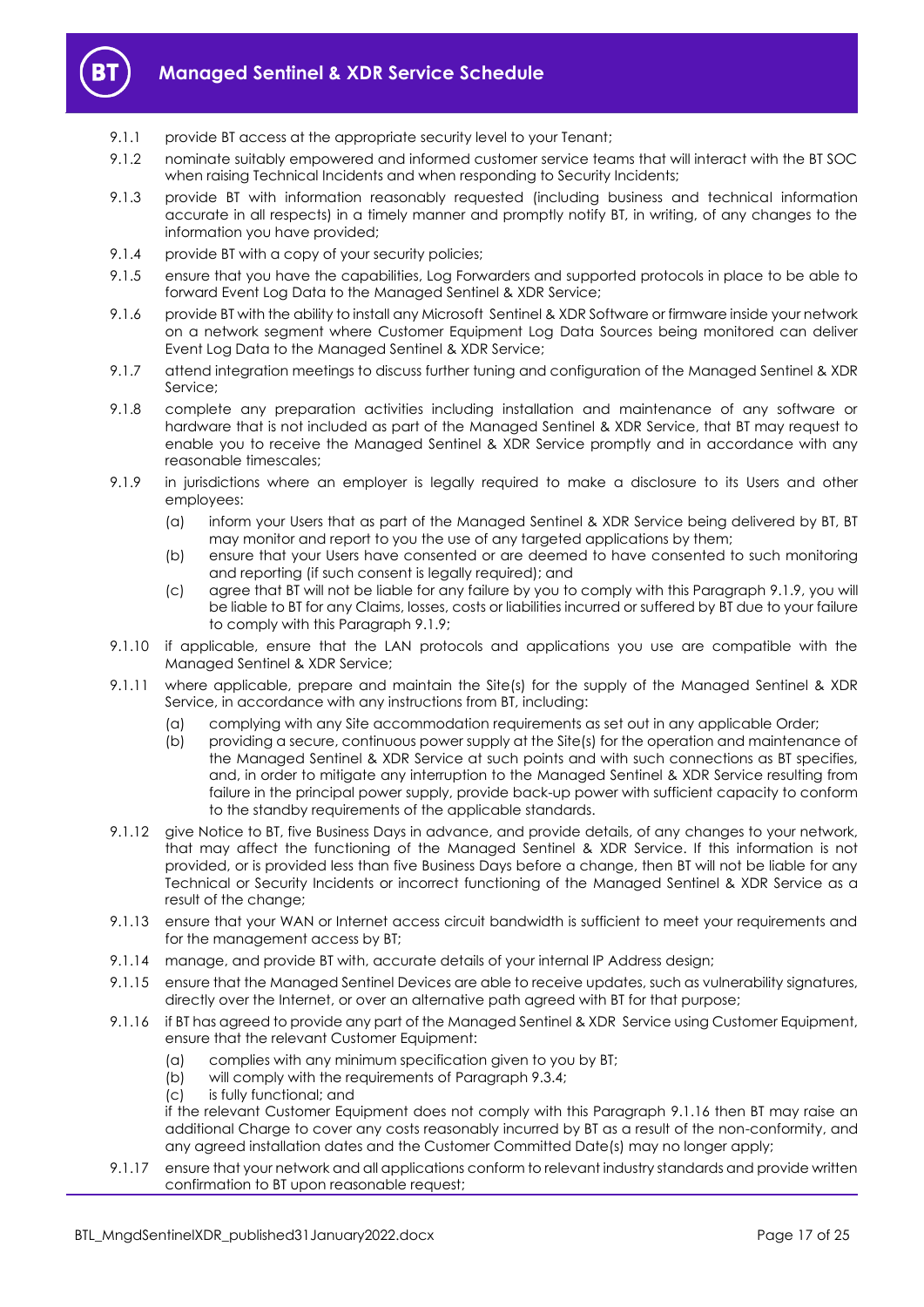

- 9.1.1 provide BT access at the appropriate security level to your Tenant;
- 9.1.2 nominate suitably empowered and informed customer service teams that will interact with the BT SOC when raising Technical Incidents and when responding to Security Incidents;
- 9.1.3 provide BT with information reasonably requested (including business and technical information accurate in all respects) in a timely manner and promptly notify BT, in writing, of any changes to the information you have provided;
- 9.1.4 provide BT with a copy of your security policies;
- 9.1.5 ensure that you have the capabilities, Log Forwarders and supported protocols in place to be able to forward Event Log Data to the Managed Sentinel & XDR Service;
- 9.1.6 provide BT with the ability to install any Microsoft Sentinel & XDR Software or firmware inside your network on a network segment where Customer Equipment Log Data Sources being monitored can deliver Event Log Data to the Managed Sentinel & XDR Service;
- 9.1.7 attend integration meetings to discuss further tuning and configuration of the Managed Sentinel & XDR Service;
- 9.1.8 complete any preparation activities including installation and maintenance of any software or hardware that is not included as part of the Managed Sentinel & XDR Service, that BT may request to enable you to receive the Managed Sentinel & XDR Service promptly and in accordance with any reasonable timescales;
- <span id="page-16-0"></span>9.1.9 in jurisdictions where an employer is legally required to make a disclosure to its Users and other employees:
	- (a) inform your Users that as part of the Managed Sentinel & XDR Service being delivered by BT, BT may monitor and report to you the use of any targeted applications by them;
	- (b) ensure that your Users have consented or are deemed to have consented to such monitoring and reporting (if such consent is legally required); and
	- (c) agree that BT will not be liable for any failure by you to comply with this Paragraph [9.1.9,](#page-16-0) you will be liable to BT for any Claims, losses, costs or liabilities incurred or suffered by BT due to your failure to comply with this Paragrap[h 9.1.9;](#page-16-0)
- 9.1.10 if applicable, ensure that the LAN protocols and applications you use are compatible with the Managed Sentinel & XDR Service;
- 9.1.11 where applicable, prepare and maintain the Site(s) for the supply of the Managed Sentinel & XDR Service, in accordance with any instructions from BT, including:
	- (a) complying with any Site accommodation requirements as set out in any applicable Order;
	- (b) providing a secure, continuous power supply at the Site(s) for the operation and maintenance of the Managed Sentinel & XDR Service at such points and with such connections as BT specifies, and, in order to mitigate any interruption to the Managed Sentinel & XDR Service resulting from failure in the principal power supply, provide back-up power with sufficient capacity to conform to the standby requirements of the applicable standards.
- 9.1.12 give Notice to BT, five Business Days in advance, and provide details, of any changes to your network, that may affect the functioning of the Managed Sentinel & XDR Service. If this information is not provided, or is provided less than five Business Days before a change, then BT will not be liable for any Technical or Security Incidents or incorrect functioning of the Managed Sentinel & XDR Service as a result of the change;
- 9.1.13 ensure that your WAN or Internet access circuit bandwidth is sufficient to meet your requirements and for the management access by BT;
- 9.1.14 manage, and provide BT with, accurate details of your internal IP Address design;
- 9.1.15 ensure that the Managed Sentinel Devices are able to receive updates, such as vulnerability signatures, directly over the Internet, or over an alternative path agreed with BT for that purpose;
- <span id="page-16-1"></span>9.1.16 if BT has agreed to provide any part of the Managed Sentinel & XDR Service using Customer Equipment, ensure that the relevant Customer Equipment:
	- (a) complies with any minimum specification given to you by BT;
	- (b) will comply with the requirements of Paragrap[h 9.3.4;](#page-17-1)
	- (c) is fully functional; and

if the relevant Customer Equipment does not comply with this Paragraph [9.1.16](#page-16-1) then BT may raise an additional Charge to cover any costs reasonably incurred by BT as a result of the non-conformity, and any agreed installation dates and the Customer Committed Date(s) may no longer apply;

9.1.17 ensure that your network and all applications conform to relevant industry standards and provide written confirmation to BT upon reasonable request;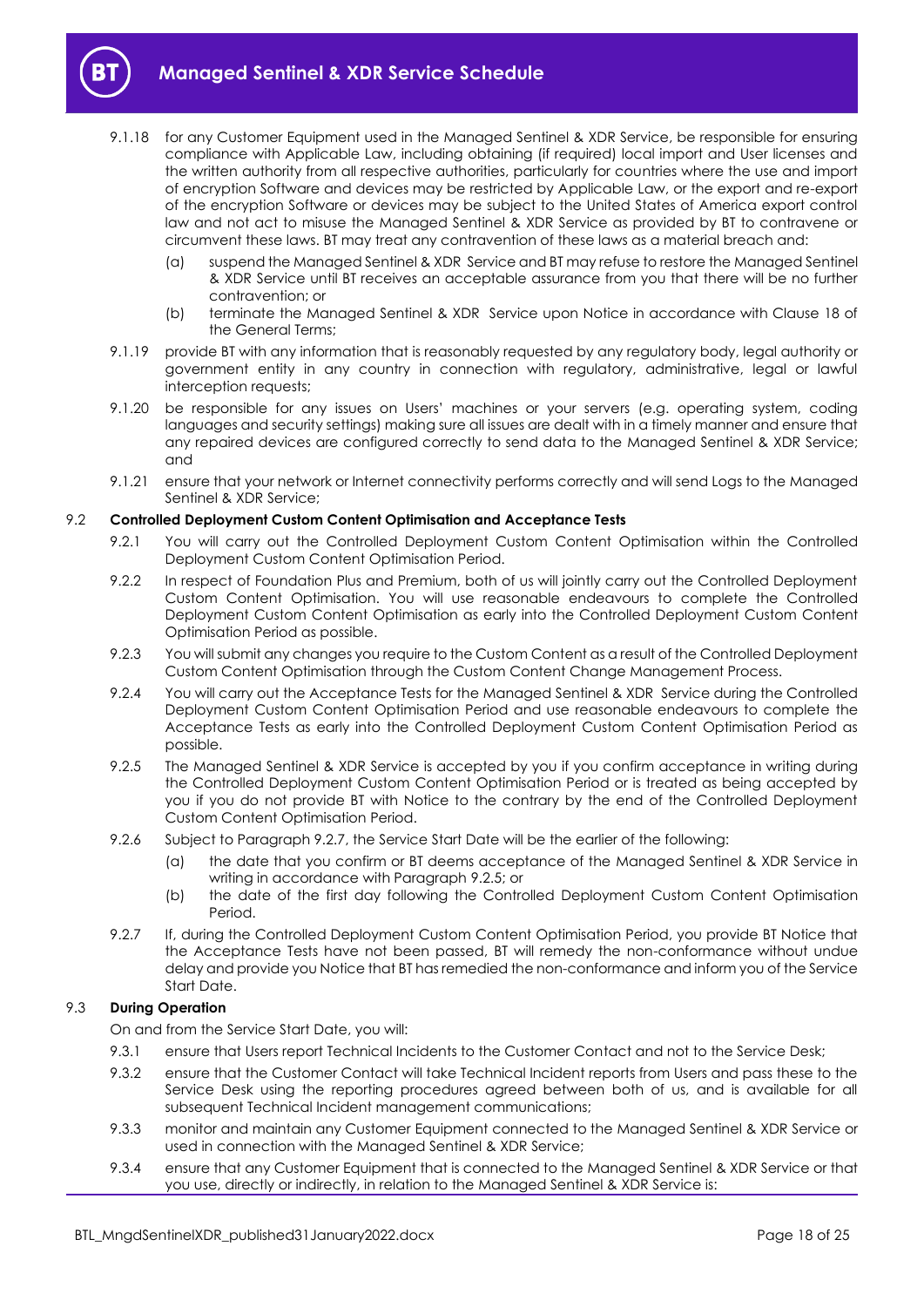

- 9.1.18 for any Customer Equipment used in the Managed Sentinel & XDR Service, be responsible for ensuring compliance with Applicable Law, including obtaining (if required) local import and User licenses and the written authority from all respective authorities, particularly for countries where the use and import of encryption Software and devices may be restricted by Applicable Law, or the export and re-export of the encryption Software or devices may be subject to the United States of America export control law and not act to misuse the Managed Sentinel & XDR Service as provided by BT to contravene or circumvent these laws. BT may treat any contravention of these laws as a material breach and:
	- (a) suspend the Managed Sentinel & XDR Service and BT may refuse to restore the Managed Sentinel & XDR Service until BT receives an acceptable assurance from you that there will be no further contravention; or
	- (b) terminate the Managed Sentinel & XDR Service upon Notice in accordance with Clause 18 of the General Terms;
- 9.1.19 provide BT with any information that is reasonably requested by any regulatory body, legal authority or government entity in any country in connection with regulatory, administrative, legal or lawful interception requests;
- 9.1.20 be responsible for any issues on Users' machines or your servers (e.g. operating system, coding languages and security settings) making sure all issues are dealt with in a timely manner and ensure that any repaired devices are configured correctly to send data to the Managed Sentinel & XDR Service; and
- 9.1.21 ensure that your network or Internet connectivity performs correctly and will send Logs to the Managed Sentinel & XDR Service;

## <span id="page-17-0"></span>9.2 **Controlled Deployment Custom Content Optimisation and Acceptance Tests**

- 9.2.1 You will carry out the Controlled Deployment Custom Content Optimisation within the Controlled Deployment Custom Content Optimisation Period.
- 9.2.2 In respect of Foundation Plus and Premium, both of us will jointly carry out the Controlled Deployment Custom Content Optimisation. You will use reasonable endeavours to complete the Controlled Deployment Custom Content Optimisation as early into the Controlled Deployment Custom Content Optimisation Period as possible.
- 9.2.3 You will submit any changes you require to the Custom Content as a result of the Controlled Deployment Custom Content Optimisation through the Custom Content Change Management Process.
- 9.2.4 You will carry out the Acceptance Tests for the Managed Sentinel & XDR Service during the Controlled Deployment Custom Content Optimisation Period and use reasonable endeavours to complete the Acceptance Tests as early into the Controlled Deployment Custom Content Optimisation Period as possible.
- <span id="page-17-3"></span>9.2.5 The Managed Sentinel & XDR Service is accepted by you if you confirm acceptance in writing during the Controlled Deployment Custom Content Optimisation Period or is treated as being accepted by you if you do not provide BT with Notice to the contrary by the end of the Controlled Deployment Custom Content Optimisation Period.
- <span id="page-17-4"></span>9.2.6 Subject to Paragrap[h 9.2.7,](#page-17-2) the Service Start Date will be the earlier of the following:
	- (a) the date that you confirm or BT deems acceptance of the Managed Sentinel & XDR Service in writing in accordance with Paragraph [9.2.5;](#page-17-3) or
	- (b) the date of the first day following the Controlled Deployment Custom Content Optimisation Period.
- <span id="page-17-2"></span>9.2.7 If, during the Controlled Deployment Custom Content Optimisation Period, you provide BT Notice that the Acceptance Tests have not been passed, BT will remedy the non-conformance without undue delay and provide you Notice that BT has remedied the non-conformance and inform you of the Service Start Date.

## 9.3 **During Operation**

On and from the Service Start Date, you will:

- 9.3.1 ensure that Users report Technical Incidents to the Customer Contact and not to the Service Desk;
- 9.3.2 ensure that the Customer Contact will take Technical Incident reports from Users and pass these to the Service Desk using the reporting procedures agreed between both of us, and is available for all subsequent Technical Incident management communications;
- 9.3.3 monitor and maintain any Customer Equipment connected to the Managed Sentinel & XDR Service or used in connection with the Managed Sentinel & XDR Service;
- <span id="page-17-1"></span>9.3.4 ensure that any Customer Equipment that is connected to the Managed Sentinel & XDR Service or that you use, directly or indirectly, in relation to the Managed Sentinel & XDR Service is: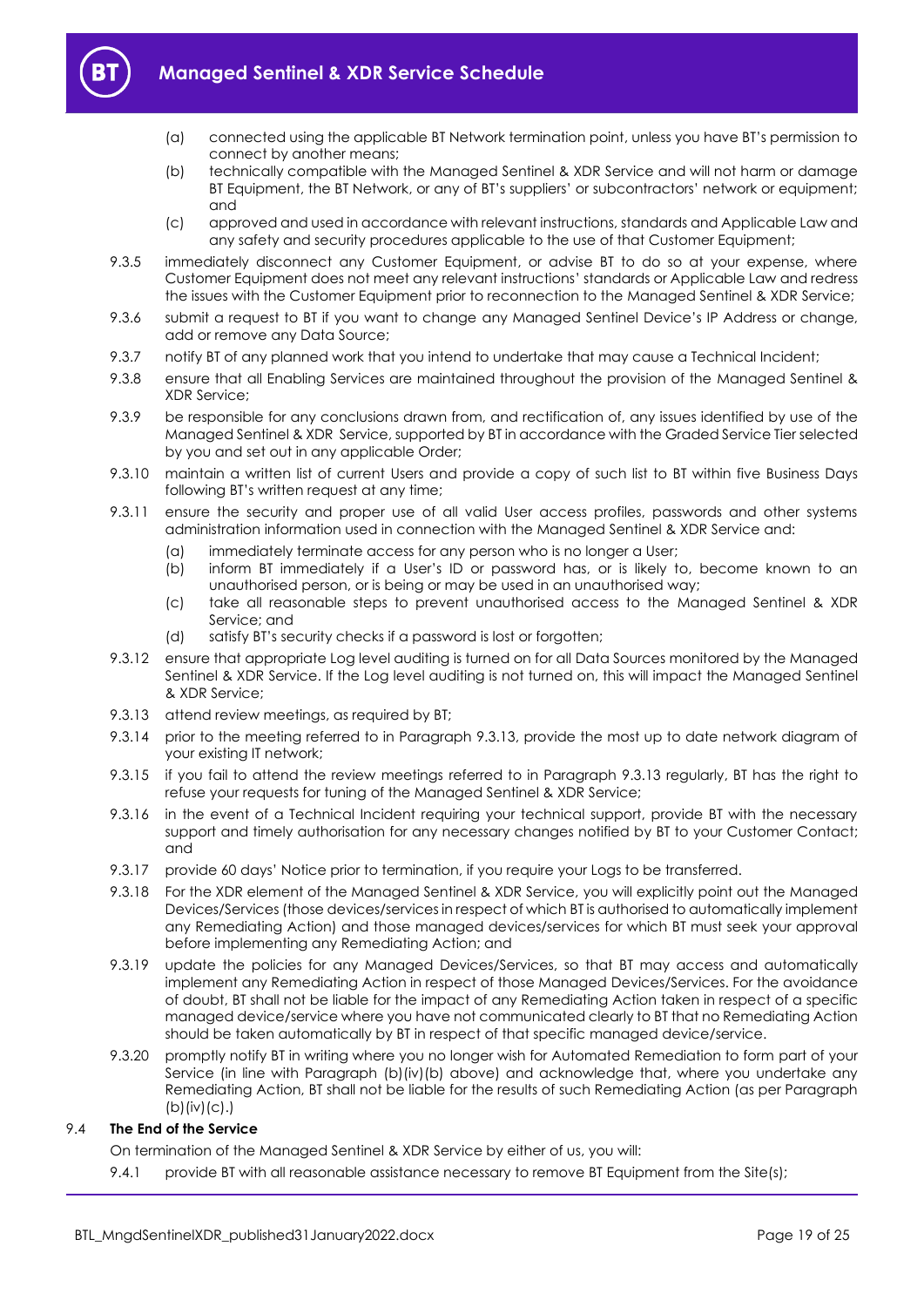

- (a) connected using the applicable BT Network termination point, unless you have BT's permission to connect by another means;
- (b) technically compatible with the Managed Sentinel & XDR Service and will not harm or damage BT Equipment, the BT Network, or any of BT's suppliers' or subcontractors' network or equipment; and
- (c) approved and used in accordance with relevant instructions, standards and Applicable Law and any safety and security procedures applicable to the use of that Customer Equipment;
- 9.3.5 immediately disconnect any Customer Equipment, or advise BT to do so at your expense, where Customer Equipment does not meet any relevant instructions' standards or Applicable Law and redress the issues with the Customer Equipment prior to reconnection to the Managed Sentinel & XDR Service;
- 9.3.6 submit a request to BT if you want to change any Managed Sentinel Device's IP Address or change, add or remove any Data Source;
- 9.3.7 notify BT of any planned work that you intend to undertake that may cause a Technical Incident;
- 9.3.8 ensure that all Enabling Services are maintained throughout the provision of the Managed Sentinel & XDR Service;
- 9.3.9 be responsible for any conclusions drawn from, and rectification of, any issues identified by use of the Managed Sentinel & XDR Service, supported by BT in accordance with the Graded Service Tier selected by you and set out in any applicable Order;
- 9.3.10 maintain a written list of current Users and provide a copy of such list to BT within five Business Days following BT's written request at any time;
- 9.3.11 ensure the security and proper use of all valid User access profiles, passwords and other systems administration information used in connection with the Managed Sentinel & XDR Service and:
	- (a) immediately terminate access for any person who is no longer a User;
	- (b) inform BT immediately if a User's ID or password has, or is likely to, become known to an unauthorised person, or is being or may be used in an unauthorised way;
	- (c) take all reasonable steps to prevent unauthorised access to the Managed Sentinel & XDR Service; and
	- (d) satisfy BT's security checks if a password is lost or forgotten;
- 9.3.12 ensure that appropriate Log level auditing is turned on for all Data Sources monitored by the Managed Sentinel & XDR Service. If the Log level auditing is not turned on, this will impact the Managed Sentinel & XDR Service;
- <span id="page-18-0"></span>9.3.13 attend review meetings, as required by BT;
- 9.3.14 prior to the meeting referred to in Paragraph [9.3.13,](#page-18-0) provide the most up to date network diagram of your existing IT network;
- 9.3.15 if you fail to attend the review meetings referred to in Paragraph [9.3.13](#page-18-0) regularly, BT has the right to refuse your requests for tuning of the Managed Sentinel & XDR Service;
- 9.3.16 in the event of a Technical Incident requiring your technical support, provide BT with the necessary support and timely authorisation for any necessary changes notified by BT to your Customer Contact; and
- 9.3.17 provide 60 days' Notice prior to termination, if you require your Logs to be transferred.
- 9.3.18 For the XDR element of the Managed Sentinel & XDR Service, you will explicitly point out the Managed Devices/Services (those devices/services in respect of which BT is authorised to automatically implement any Remediating Action) and those managed devices/services for which BT must seek your approval before implementing any Remediating Action; and
- 9.3.19 update the policies for any Managed Devices/Services, so that BT may access and automatically implement any Remediating Action in respect of those Managed Devices/Services. For the avoidance of doubt, BT shall not be liable for the impact of any Remediating Action taken in respect of a specific managed device/service where you have not communicated clearly to BT that no Remediating Action should be taken automatically by BT in respect of that specific managed device/service.
- 9.3.20 promptly notify BT in writing where you no longer wish for Automated Remediation to form part of your Service (in line with Paragraph [\(b\)\(](#page-6-0)iv)(b) above) and acknowledge that, where you undertake any Remediating Action, BT shall not be liable for the results of such Remediating Action (as per Paragraph  $(b)(iv)(c).$  $(b)(iv)(c).$

#### 9.4 **The End of the Service**

On termination of the Managed Sentinel & XDR Service by either of us, you will:

9.4.1 provide BT with all reasonable assistance necessary to remove BT Equipment from the Site(s);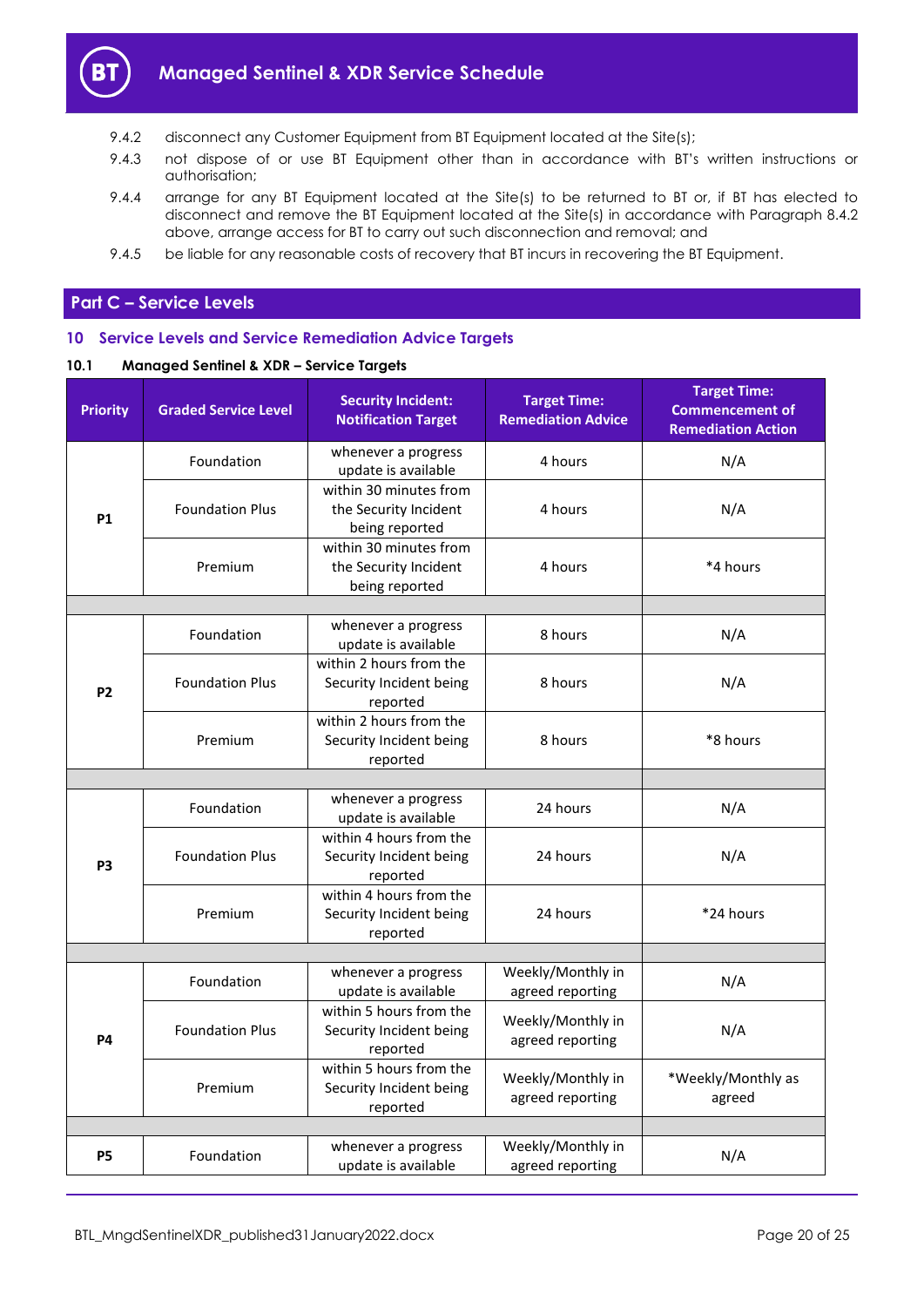

- 9.4.2 disconnect any Customer Equipment from BT Equipment located at the Site(s);
- 9.4.3 not dispose of or use BT Equipment other than in accordance with BT's written instructions or authorisation;
- 9.4.4 arrange for any BT Equipment located at the Site(s) to be returned to BT or, if BT has elected to disconnect and remove the BT Equipment located at the Site(s) in accordance with Paragraph [8.4.2](#page-15-5) above, arrange access for BT to carry out such disconnection and removal; and
- 9.4.5 be liable for any reasonable costs of recovery that BT incurs in recovering the BT Equipment.

# <span id="page-19-0"></span>**Part C – Service Levels**

# <span id="page-19-1"></span>**10 Service Levels and Service Remediation Advice Targets**

# **10.1 Managed Sentinel & XDR – Service Targets**

| <b>Priority</b> | <b>Graded Service Level</b> | <b>Security Incident:</b><br><b>Notification Target</b>           | <b>Target Time:</b><br><b>Remediation Advice</b> | <b>Target Time:</b><br><b>Commencement of</b><br><b>Remediation Action</b> |
|-----------------|-----------------------------|-------------------------------------------------------------------|--------------------------------------------------|----------------------------------------------------------------------------|
|                 | Foundation                  | whenever a progress<br>update is available                        | 4 hours                                          | N/A                                                                        |
| <b>P1</b>       | <b>Foundation Plus</b>      | within 30 minutes from<br>the Security Incident<br>being reported | 4 hours                                          | N/A                                                                        |
|                 | Premium                     | within 30 minutes from<br>the Security Incident<br>being reported | 4 hours                                          | *4 hours                                                                   |
|                 |                             |                                                                   |                                                  |                                                                            |
|                 | Foundation                  | whenever a progress<br>update is available                        | 8 hours                                          | N/A                                                                        |
| <b>P2</b>       | <b>Foundation Plus</b>      | within 2 hours from the<br>Security Incident being<br>reported    | 8 hours                                          | N/A                                                                        |
|                 | Premium                     | within 2 hours from the<br>Security Incident being<br>reported    | 8 hours                                          | *8 hours                                                                   |
|                 |                             |                                                                   |                                                  |                                                                            |
|                 | Foundation                  | whenever a progress<br>update is available                        | 24 hours                                         | N/A                                                                        |
| P <sub>3</sub>  | <b>Foundation Plus</b>      | within 4 hours from the<br>Security Incident being<br>reported    | 24 hours                                         | N/A                                                                        |
|                 | Premium                     | within 4 hours from the<br>Security Incident being<br>reported    | 24 hours                                         | *24 hours                                                                  |
|                 |                             |                                                                   |                                                  |                                                                            |
|                 | Foundation                  | whenever a progress<br>update is available                        | Weekly/Monthly in<br>agreed reporting            | N/A                                                                        |
| <b>P4</b>       | <b>Foundation Plus</b>      | within 5 hours from the<br>Security Incident being<br>reported    | Weekly/Monthly in<br>agreed reporting            | N/A                                                                        |
|                 | Premium                     | within 5 hours from the<br>Security Incident being<br>reported    | Weekly/Monthly in<br>agreed reporting            | *Weekly/Monthly as<br>agreed                                               |
|                 |                             |                                                                   |                                                  |                                                                            |
| <b>P5</b>       | Foundation                  | whenever a progress<br>update is available                        | Weekly/Monthly in<br>agreed reporting            | N/A                                                                        |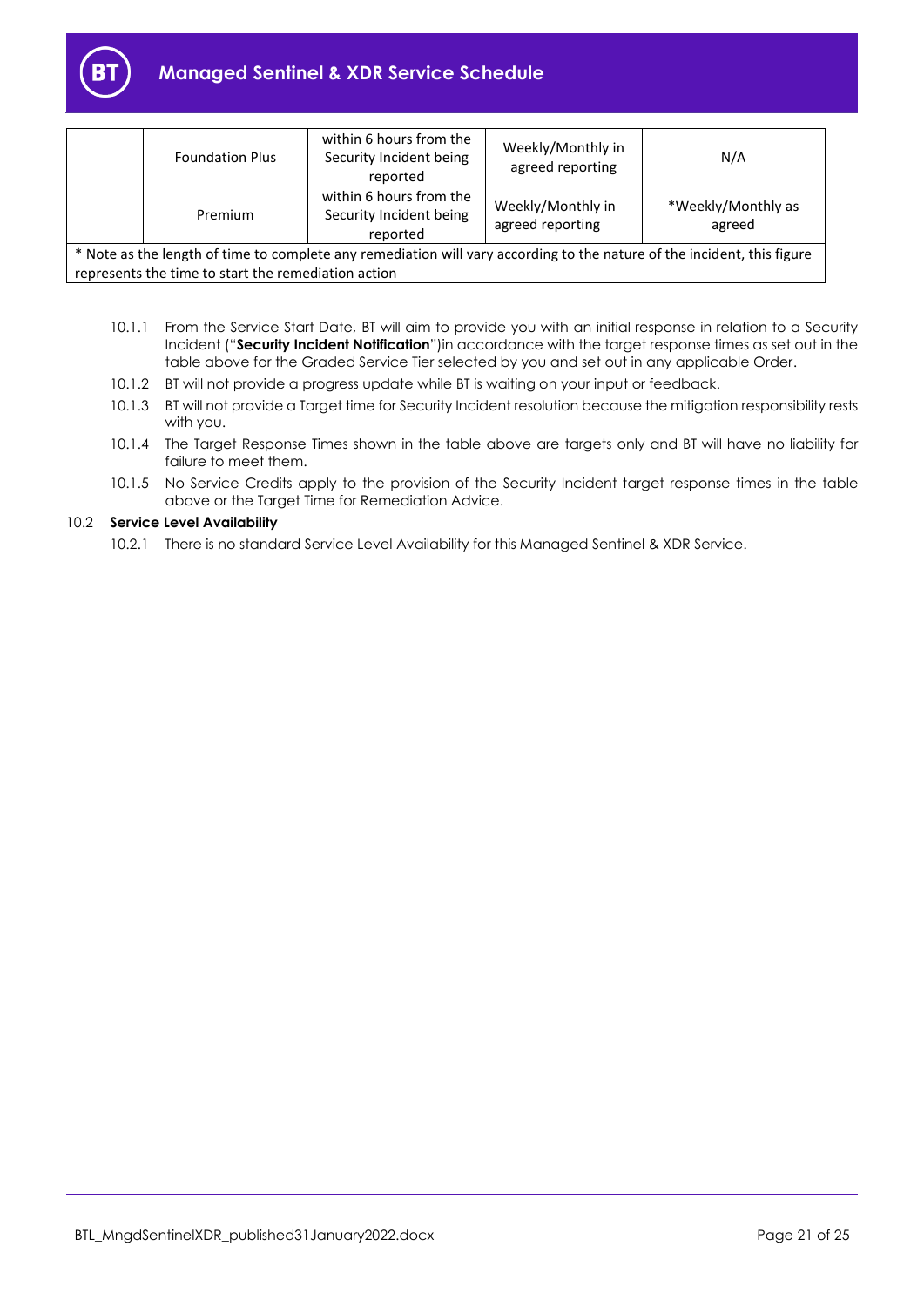

# **Managed Sentinel & XDR Service Schedule**

|                                                                                                                                                                                | <b>Foundation Plus</b> | within 6 hours from the<br>Security Incident being<br>reported | Weekly/Monthly in<br>agreed reporting | N/A                          |
|--------------------------------------------------------------------------------------------------------------------------------------------------------------------------------|------------------------|----------------------------------------------------------------|---------------------------------------|------------------------------|
|                                                                                                                                                                                | Premium                | within 6 hours from the<br>Security Incident being<br>reported | Weekly/Monthly in<br>agreed reporting | *Weekly/Monthly as<br>agreed |
| * Note as the length of time to complete any remediation will vary according to the nature of the incident, this figure<br>represents the time to start the remediation action |                        |                                                                |                                       |                              |

- <span id="page-20-0"></span>10.1.1 From the Service Start Date, BT will aim to provide you with an initial response in relation to a Security Incident ("**Security Incident Notification**")in accordance with the target response times as set out in the table above for the Graded Service Tier selected by you and set out in any applicable Order.
- 10.1.2 BT will not provide a progress update while BT is waiting on your input or feedback.
- 10.1.3 BT will not provide a Target time for Security Incident resolution because the mitigation responsibility rests with you.
- 10.1.4 The Target Response Times shown in the table above are targets only and BT will have no liability for failure to meet them.
- 10.1.5 No Service Credits apply to the provision of the Security Incident target response times in the table above or the Target Time for Remediation Advice.

# 10.2 **Service Level Availability**

10.2.1 There is no standard Service Level Availability for this Managed Sentinel & XDR Service.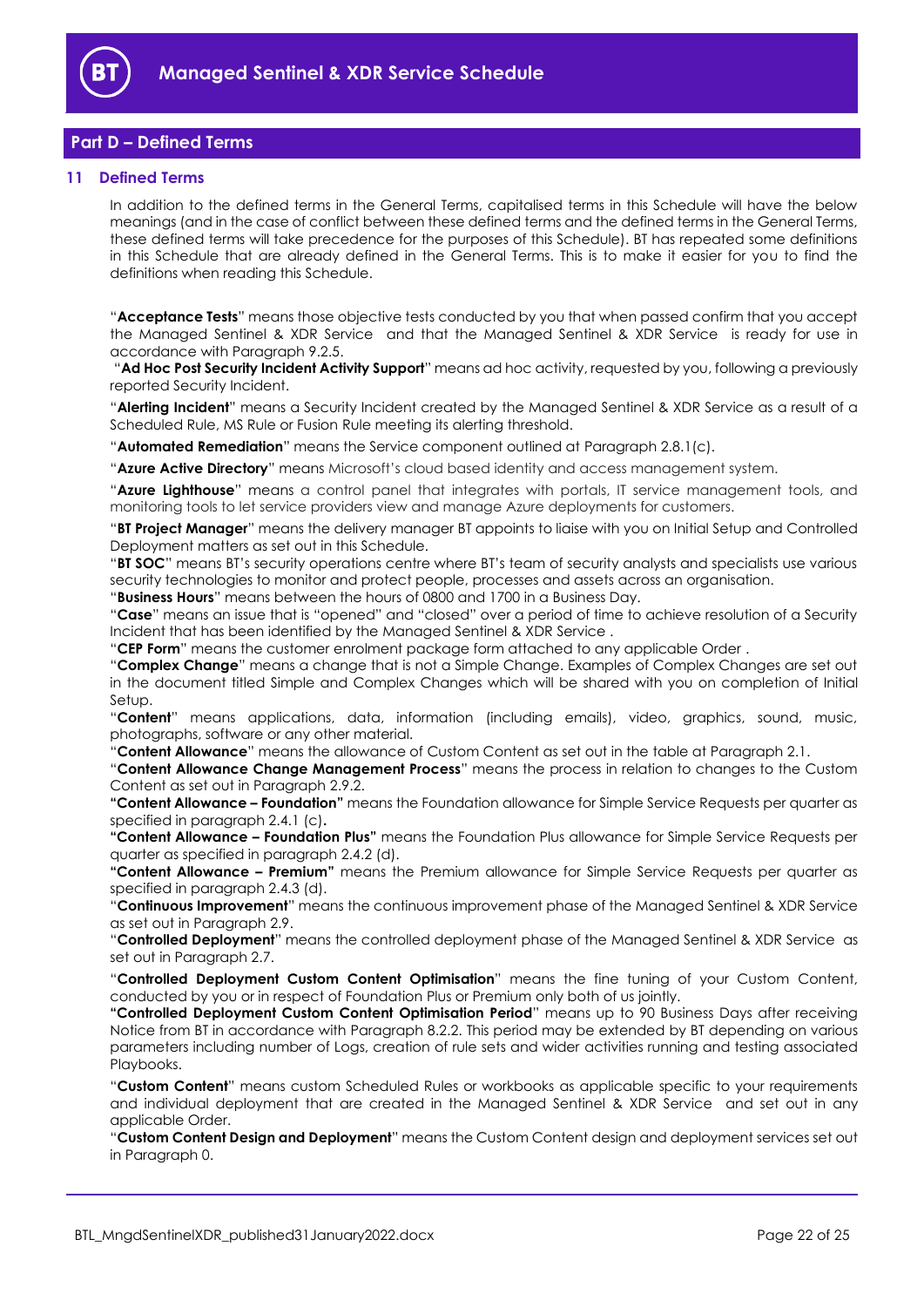

# <span id="page-21-0"></span>**Part D – Defined Terms**

#### <span id="page-21-1"></span>**11 Defined Terms**

In addition to the defined terms in the General Terms, capitalised terms in this Schedule will have the below meanings (and in the case of conflict between these defined terms and the defined terms in the General Terms, these defined terms will take precedence for the purposes of this Schedule). BT has repeated some definitions in this Schedule that are already defined in the General Terms. This is to make it easier for you to find the definitions when reading this Schedule.

"**Acceptance Tests**" means those objective tests conducted by you that when passed confirm that you accept the Managed Sentinel & XDR Service and that the Managed Sentinel & XDR Service is ready for use in accordance with Paragraph 9.2.5.

"**Ad Hoc Post Security Incident Activity Support**" means ad hoc activity, requested by you, following a previously reported Security Incident.

"**Alerting Incident**" means a Security Incident created by the Managed Sentinel & XDR Service as a result of a Scheduled Rule, MS Rule or Fusion Rule meeting its alerting threshold.

"**Automated Remediation**" means the Service component outlined at Paragraph 2.8.1(c).

"**Azure Active Directory**" means Microsoft's cloud based identity and access management system.

"**Azure Lighthouse**" means a control panel that integrates with portals, IT service management tools, and monitoring tools to let service providers view and manage Azure deployments for customers.

"**BT Project Manager**" means the delivery manager BT appoints to liaise with you on Initial Setup and Controlled Deployment matters as set out in this Schedule.

"**BT SOC**" means BT's security operations centre where BT's team of security analysts and specialists use various security technologies to monitor and protect people, processes and assets across an organisation.

"**Business Hours**" means between the hours of 0800 and 1700 in a Business Day.

"**Case**" means an issue that is "opened" and "closed" over a period of time to achieve resolution of a Security Incident that has been identified by the Managed Sentinel & XDR Service .

"**CEP Form**" means the customer enrolment package form attached to any applicable Order .

"**Complex Change**" means a change that is not a Simple Change. Examples of Complex Changes are set out in the document titled Simple and Complex Changes which will be shared with you on completion of Initial Setup.

"**Content**" means applications, data, information (including emails), video, graphics, sound, music, photographs, software or any other material.

"**Content Allowance**" means the allowance of Custom Content as set out in the table at Paragraph [2.1.](#page-1-6)

"**Content Allowance Change Management Process**" means the process in relation to changes to the Custom Content as set out in Paragrap[h 2.9.2.](#page-10-0)

**"Content Allowance – Foundation"** means the Foundation allowance for Simple Service Requests per quarter as specified in paragraph 2.4.1 (c)**.**

**"Content Allowance – Foundation Plus"** means the Foundation Plus allowance for Simple Service Requests per quarter as specified in paragraph 2.4.2 (d).

**"Content Allowance – Premium"** means the Premium allowance for Simple Service Requests per quarter as specified in paragraph 2.4.3 (d).

"**Continuous Improvement**" means the continuous improvement phase of the Managed Sentinel & XDR Service as set out in Paragraph [2.9.](#page-9-1)

"**Controlled Deployment**" means the controlled deployment phase of the Managed Sentinel & XDR Service as set out in Paragraph [2.7.](#page-4-1)

"**Controlled Deployment Custom Content Optimisation**" means the fine tuning of your Custom Content, conducted by you or in respect of Foundation Plus or Premium only both of us jointly.

**"Controlled Deployment Custom Content Optimisation Period**" means up to 90 Business Days after receiving Notice from BT in accordance with Paragraph [8.2.2.](#page-15-4) This period may be extended by BT depending on various parameters including number of Logs, creation of rule sets and wider activities running and testing associated Playbooks.

"**Custom Content**" means custom Scheduled Rules or workbooks as applicable specific to your requirements and individual deployment that are created in the Managed Sentinel & XDR Service and set out in any applicable Order.

"**Custom Content Design and Deployment**" means the Custom Content design and deployment services set out in Paragraph [0.](#page-3-1)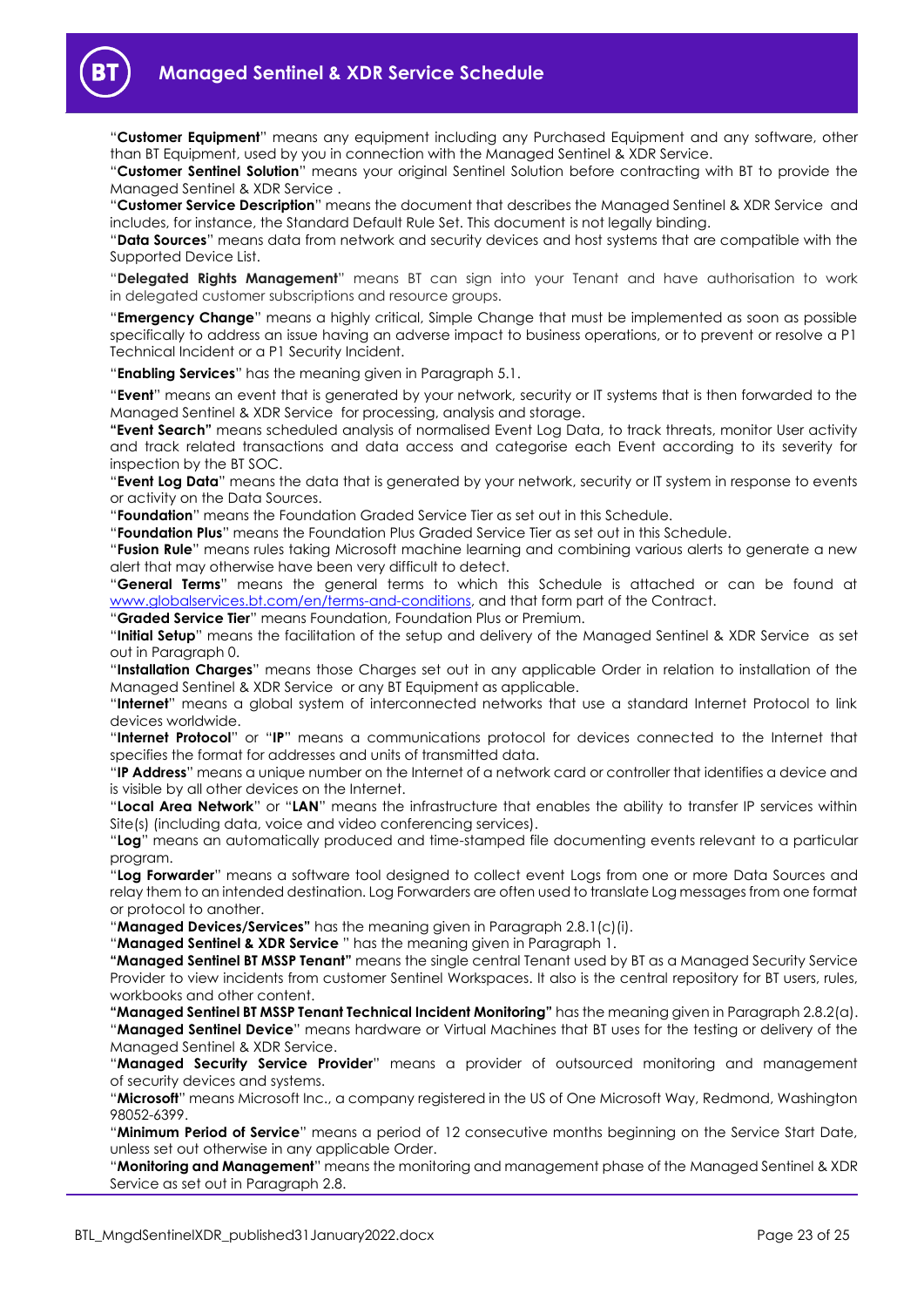

"**Customer Equipment**" means any equipment including any Purchased Equipment and any software, other than BT Equipment, used by you in connection with the Managed Sentinel & XDR Service.

"**Customer Sentinel Solution**" means your original Sentinel Solution before contracting with BT to provide the Managed Sentinel & XDR Service .

"**Customer Service Description**" means the document that describes the Managed Sentinel & XDR Service and includes, for instance, the Standard Default Rule Set. This document is not legally binding.

"**Data Sources**" means data from network and security devices and host systems that are compatible with the Supported Device List.

"**Delegated Rights Management**" means BT can sign into your Tenant and have authorisation to work in delegated customer subscriptions and resource groups.

"**Emergency Change**" means a highly critical, Simple Change that must be implemented as soon as possible specifically to address an issue having an adverse impact to business operations, or to prevent or resolve a P1 Technical Incident or a P1 Security Incident.

"**Enabling Services**" has the meaning given in Paragrap[h 5.1.](#page-11-4)

"**Event**" means an event that is generated by your network, security or IT systems that is then forwarded to the Managed Sentinel & XDR Service for processing, analysis and storage.

**"Event Search"** means scheduled analysis of normalised Event Log Data, to track threats, monitor User activity and track related transactions and data access and categorise each Event according to its severity for inspection by the BT SOC.

"**Event Log Data**" means the data that is generated by your network, security or IT system in response to events or activity on the Data Sources.

"**Foundation**" means the Foundation Graded Service Tier as set out in this Schedule.

"**Foundation Plus**" means the Foundation Plus Graded Service Tier as set out in this Schedule.

"**Fusion Rule**" means rules taking Microsoft machine learning and combining various alerts to generate a new alert that may otherwise have been very difficult to detect.

"**General Terms**" means the general terms to which this Schedule is attached or can be found at www.globalservices.bt.com/en/terms-and-conditions, and that form part of the Contract.

"**Graded Service Tier**" means Foundation, Foundation Plus or Premium.

"**Initial Setup**" means the facilitation of the setup and delivery of the Managed Sentinel & XDR Service as set out in Paragraph [0.](#page-3-2)

"**Installation Charges**" means those Charges set out in any applicable Order in relation to installation of the Managed Sentinel & XDR Service or any BT Equipment as applicable.

"**Internet**" means a global system of interconnected networks that use a standard Internet Protocol to link devices worldwide.

"**Internet Protocol**" or "**IP**" means a communications protocol for devices connected to the Internet that specifies the format for addresses and units of transmitted data.

"**IP Address**" means a unique number on the Internet of a network card or controller that identifies a device and is visible by all other devices on the Internet.

"**Local Area Network**" or "**LAN**" means the infrastructure that enables the ability to transfer IP services within Site(s) (including data, voice and video conferencing services).

"**Log**" means an automatically produced and time-stamped file documenting events relevant to a particular program.

"**Log Forwarder**" means a software tool designed to collect event Logs from one or more Data Sources and relay them to an intended destination. Log Forwarders are often used to translate Log messages from one format or protocol to another.

"**Managed Devices/Services"** has the meaning given in Paragraph 2.8.1(c)(i).

"**Managed Sentinel & XDR Service** " has the meaning given in Paragraph [1.](#page-1-3)

**"Managed Sentinel BT MSSP Tenant"** means the single central Tenant used by BT as a Managed Security Service Provider to view incidents from customer Sentinel Workspaces. It also is the central repository for BT users, rules, workbooks and other content.

**"Managed Sentinel BT MSSP Tenant Technical Incident Monitoring"** has the meaning given in Paragraph 2.8.2(a). "**Managed Sentinel Device**" means hardware or Virtual Machines that BT uses for the testing or delivery of the Managed Sentinel & XDR Service.

"**Managed Security Service Provider**" means a provider of outsourced monitoring and management of security devices and systems.

"**Microsoft**" means Microsoft Inc., a company registered in the US of One Microsoft Way, Redmond, Washington 98052-6399.

"**Minimum Period of Service**" means a period of 12 consecutive months beginning on the Service Start Date, unless set out otherwise in any applicable Order.

"**Monitoring and Management**" means the monitoring and management phase of the Managed Sentinel & XDR Service as set out in Paragraph [2.8.](#page-5-3)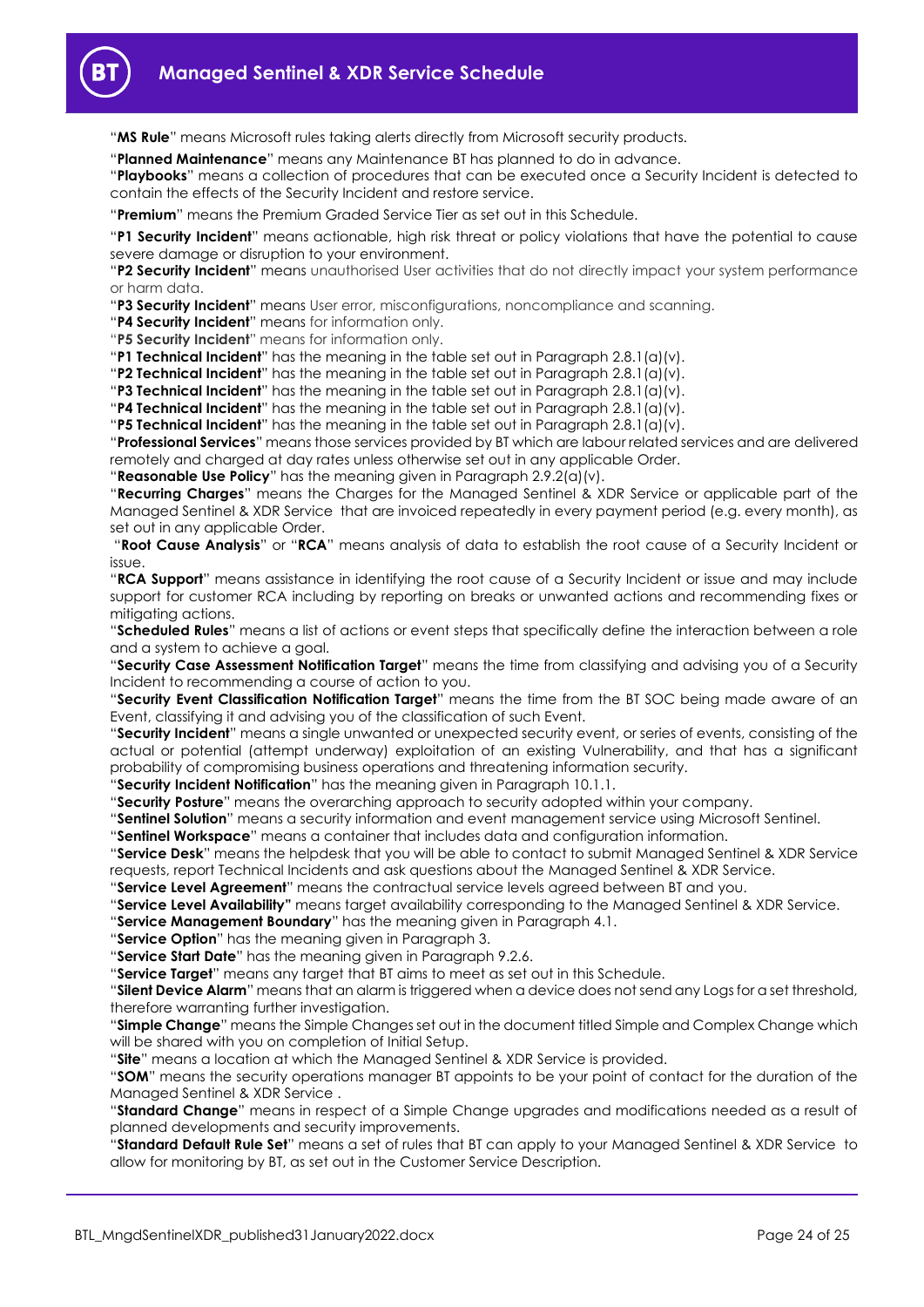

"**MS Rule**" means Microsoft rules taking alerts directly from Microsoft security products.

"**Planned Maintenance**" means any Maintenance BT has planned to do in advance.

"**Playbooks**" means a collection of procedures that can be executed once a Security Incident is detected to contain the effects of the Security Incident and restore service.

"**Premium**" means the Premium Graded Service Tier as set out in this Schedule.

"**P1 Security Incident**" means actionable, high risk threat or policy violations that have the potential to cause severe damage or disruption to your environment.

"**P2 Security Incident**" means unauthorised User activities that do not directly impact your system performance or harm data.

"**P3 Security Incident**" means User error, misconfigurations, noncompliance and scanning.

"**P4 Security Incident**" means for information only.

"**P5 Security Incident**" means for information only.

"**P1 Technical Incident**" has the meaning in the table set out in Paragraph [2.8.1\(a\)\(v\).](#page-6-3)

"**P2 Technical Incident**" has the meaning in the table set out in Paragrap[h 2.8.1\(a\)\(v\).](#page-6-3)

"**P3 Technical Incident**" has the meaning in the table set out in Paragrap[h 2.8.1\(a\)\(v\).](#page-6-3)

"**P4 Technical Incident**" has the meaning in the table set out in Paragrap[h 2.8.1\(a\)\(v\).](#page-6-3)

"**P5 Technical Incident**" has the meaning in the table set out in Paragrap[h 2.8.1\(a\)\(v\).](#page-6-3)

"**Professional Services**" means those services provided by BT which are labour related services and are delivered remotely and charged at day rates unless otherwise set out in any applicable Order.

"**Reasonable Use Policy**" has the meaning given in Paragraph [2.9.2\(a\)\(v\).](#page-10-1)

"**Recurring Charges**" means the Charges for the Managed Sentinel & XDR Service or applicable part of the Managed Sentinel & XDR Service that are invoiced repeatedly in every payment period (e.g. every month), as set out in any applicable Order.

"**Root Cause Analysis**" or "**RCA**" means analysis of data to establish the root cause of a Security Incident or issue.

"**RCA Support**" means assistance in identifying the root cause of a Security Incident or issue and may include support for customer RCA including by reporting on breaks or unwanted actions and recommending fixes or mitigating actions.

"**Scheduled Rules**" means a list of actions or event steps that specifically define the interaction between a role and a system to achieve a goal.

"**Security Case Assessment Notification Target**" means the time from classifying and advising you of a Security Incident to recommending a course of action to you.

"**Security Event Classification Notification Target**" means the time from the BT SOC being made aware of an Event, classifying it and advising you of the classification of such Event.

"**Security Incident**" means a single unwanted or unexpected security event, or series of events, consisting of the actual or potential (attempt underway) exploitation of an existing Vulnerability, and that has a significant probability of compromising business operations and threatening information security.

"**Security Incident Notification**" has the meaning given in Paragraph [10.1.1.](#page-20-0)

"**Security Posture**" means the overarching approach to security adopted within your company.

"**Sentinel Solution**" means a security information and event management service using Microsoft Sentinel.

"**Sentinel Workspace**" means a container that includes data and configuration information.

"**Service Desk**" means the helpdesk that you will be able to contact to submit Managed Sentinel & XDR Service requests, report Technical Incidents and ask questions about the Managed Sentinel & XDR Service.

"**Service Level Agreement**" means the contractual service levels agreed between BT and you.

"**Service Level Availability"** means target availability corresponding to the Managed Sentinel & XDR Service.

"**Service Management Boundary**" has the meaning given in Paragrap[h 4.1.](#page-11-5)

"**Service Option**" has the meaning given in Paragrap[h 3.](#page-11-0)

"**Service Start Date**" has the meaning given in Paragraph [9.2.6.](#page-17-4)

"**Service Target**" means any target that BT aims to meet as set out in this Schedule.

"**Silent Device Alarm**" means that an alarm is triggered when a device does not send any Logs for a set threshold, therefore warranting further investigation.

"**Simple Change**" means the Simple Changes set out in the document titled Simple and Complex Change which will be shared with you on completion of Initial Setup.

"**Site**" means a location at which the Managed Sentinel & XDR Service is provided.

"**SOM**" means the security operations manager BT appoints to be your point of contact for the duration of the Managed Sentinel & XDR Service .

"**Standard Change**" means in respect of a Simple Change upgrades and modifications needed as a result of planned developments and security improvements.

"**Standard Default Rule Set**" means a set of rules that BT can apply to your Managed Sentinel & XDR Service to allow for monitoring by BT, as set out in the Customer Service Description.